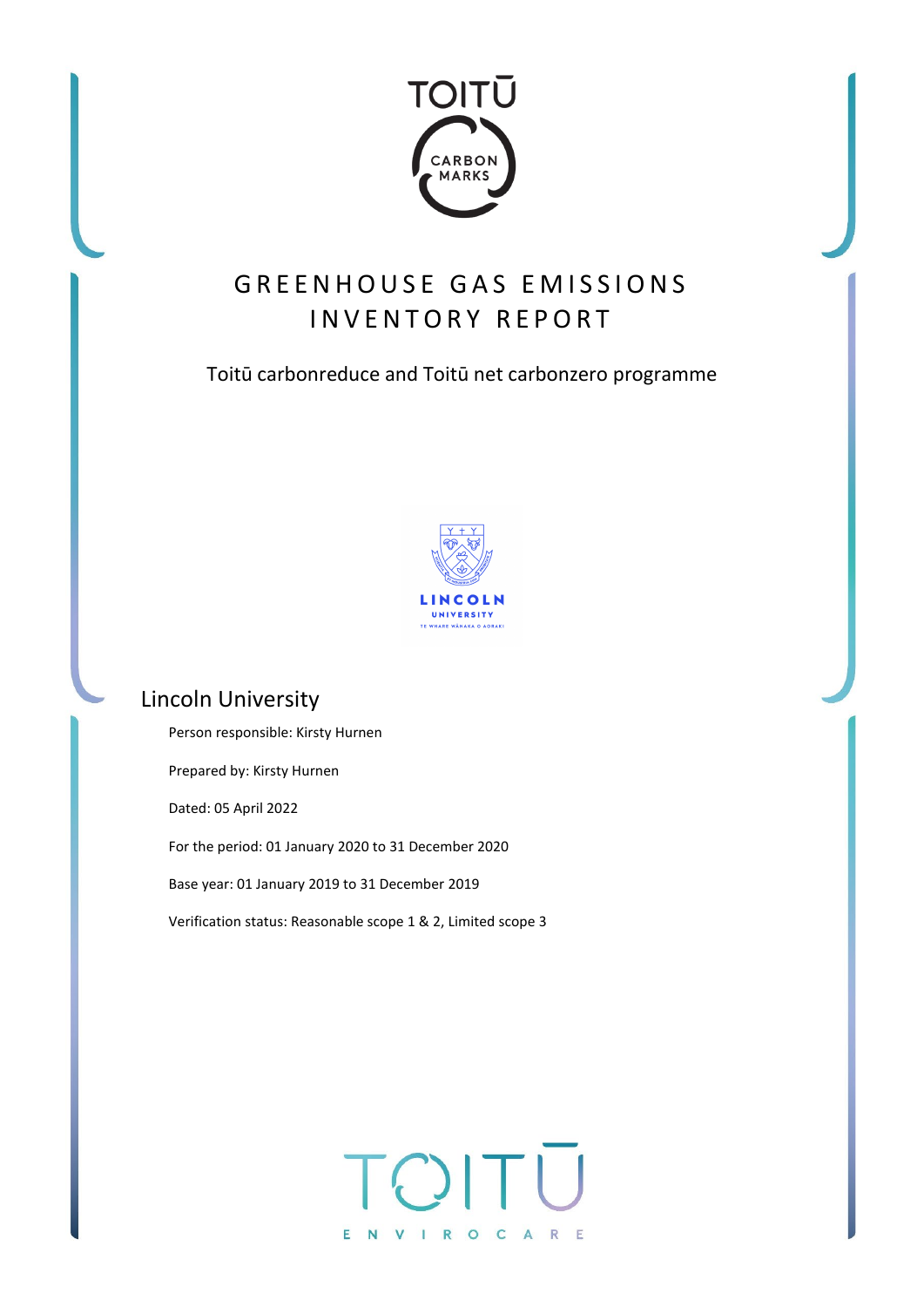

# GREENHOUSE GAS EMISSIONS INVENTORY REPORT

## Toitū carbonreduce and Toitū net carbonzero programme



## Lincoln University

Person responsible: Kirsty Hurnen Prepared by: Kirsty Hurnen Dated: 05 April 2022 For the period: 01 January 2020 to 31 December 2020 Base year: 01 January 2019 to 31 December 2019 Verification status: Reasonable scope 1 & 2, Limited scope 3

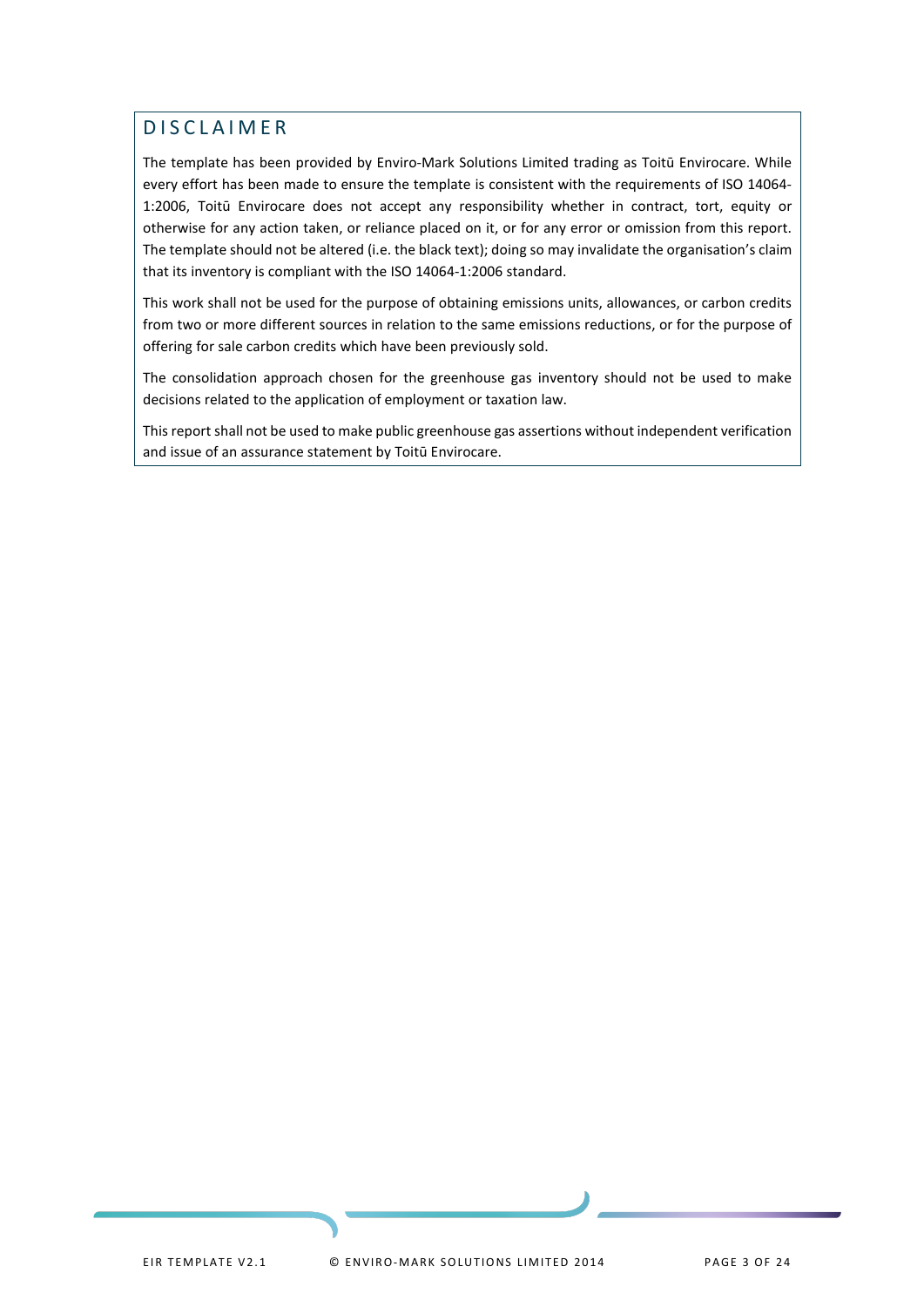## <span id="page-1-0"></span>DISCLAIMER

The template has been provided by Enviro-Mark Solutions Limited trading as Toitū Envirocare. While every effort has been made to ensure the template is consistent with the requirements of ISO 14064- 1:2006, Toitū Envirocare does not accept any responsibility whether in contract, tort, equity or otherwise for any action taken, or reliance placed on it, or for any error or omission from this report. The template should not be altered (i.e. the black text); doing so may invalidate the organisation's claim that its inventory is compliant with the ISO 14064-1:2006 standard.

This work shall not be used for the purpose of obtaining emissions units, allowances, or carbon credits from two or more different sources in relation to the same emissions reductions, or for the purpose of offering for sale carbon credits which have been previously sold.

The consolidation approach chosen for the greenhouse gas inventory should not be used to make decisions related to the application of employment or taxation law.

This report shall not be used to make public greenhouse gas assertions without independent verification and issue of an assurance statement by Toitū Envirocare.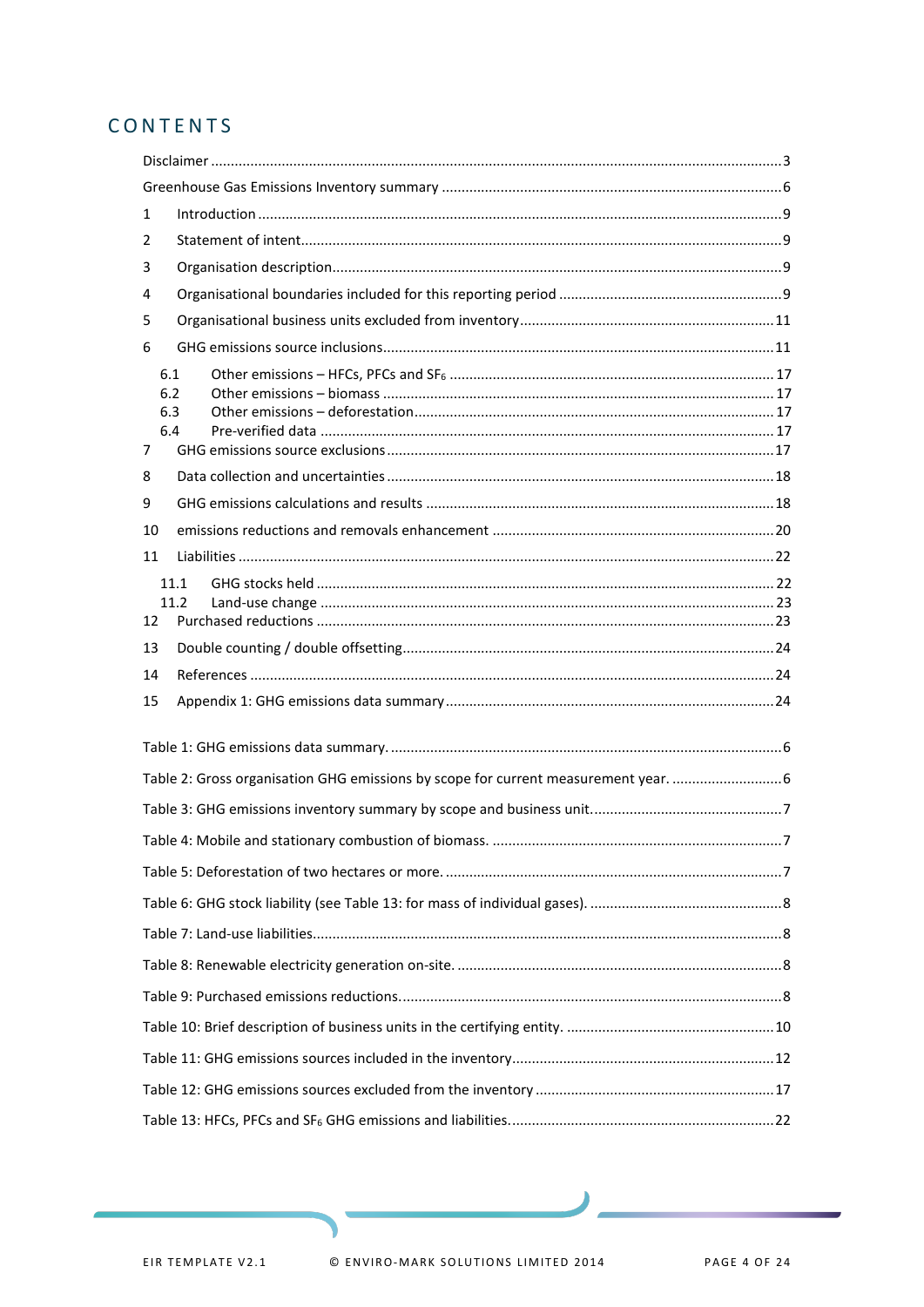## CONTENTS

| 1  |                                                                                  |  |
|----|----------------------------------------------------------------------------------|--|
| 2  |                                                                                  |  |
| 3  |                                                                                  |  |
| 4  |                                                                                  |  |
| 5  |                                                                                  |  |
| 6  |                                                                                  |  |
| 7  | 6.1<br>6.2<br>6.3<br>6.4                                                         |  |
| 8  |                                                                                  |  |
| 9  |                                                                                  |  |
| 10 |                                                                                  |  |
| 11 |                                                                                  |  |
| 12 | 11.1<br>11.2                                                                     |  |
| 13 |                                                                                  |  |
| 14 |                                                                                  |  |
| 15 |                                                                                  |  |
|    |                                                                                  |  |
|    | Table 2: Gross organisation GHG emissions by scope for current measurement year. |  |
|    |                                                                                  |  |
|    |                                                                                  |  |
|    |                                                                                  |  |
|    |                                                                                  |  |
|    |                                                                                  |  |
|    |                                                                                  |  |
|    |                                                                                  |  |
|    |                                                                                  |  |
|    |                                                                                  |  |
|    |                                                                                  |  |
|    |                                                                                  |  |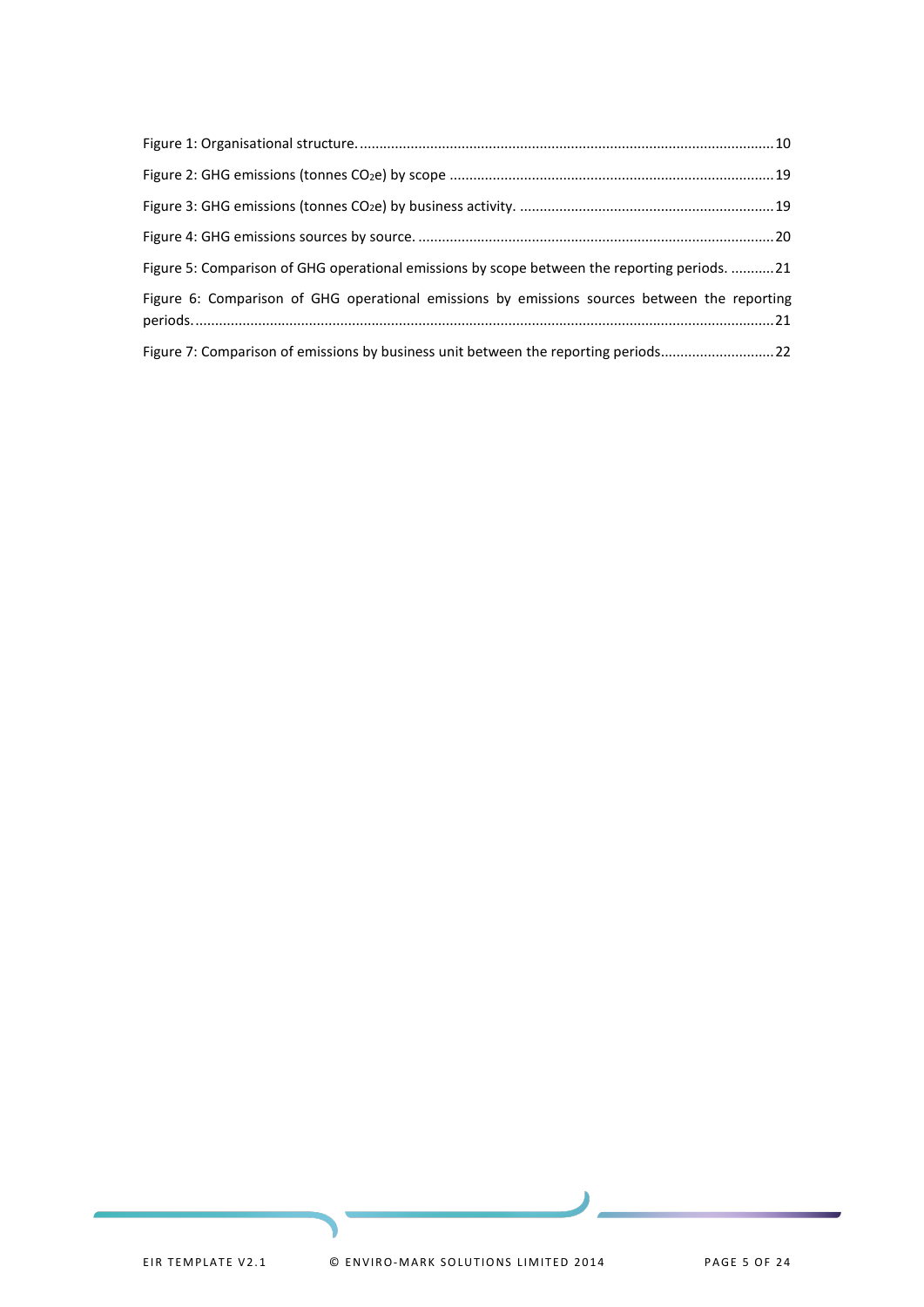| Figure 5: Comparison of GHG operational emissions by scope between the reporting periods. 21 |  |
|----------------------------------------------------------------------------------------------|--|
| Figure 6: Comparison of GHG operational emissions by emissions sources between the reporting |  |
| Figure 7: Comparison of emissions by business unit between the reporting periods22           |  |

۱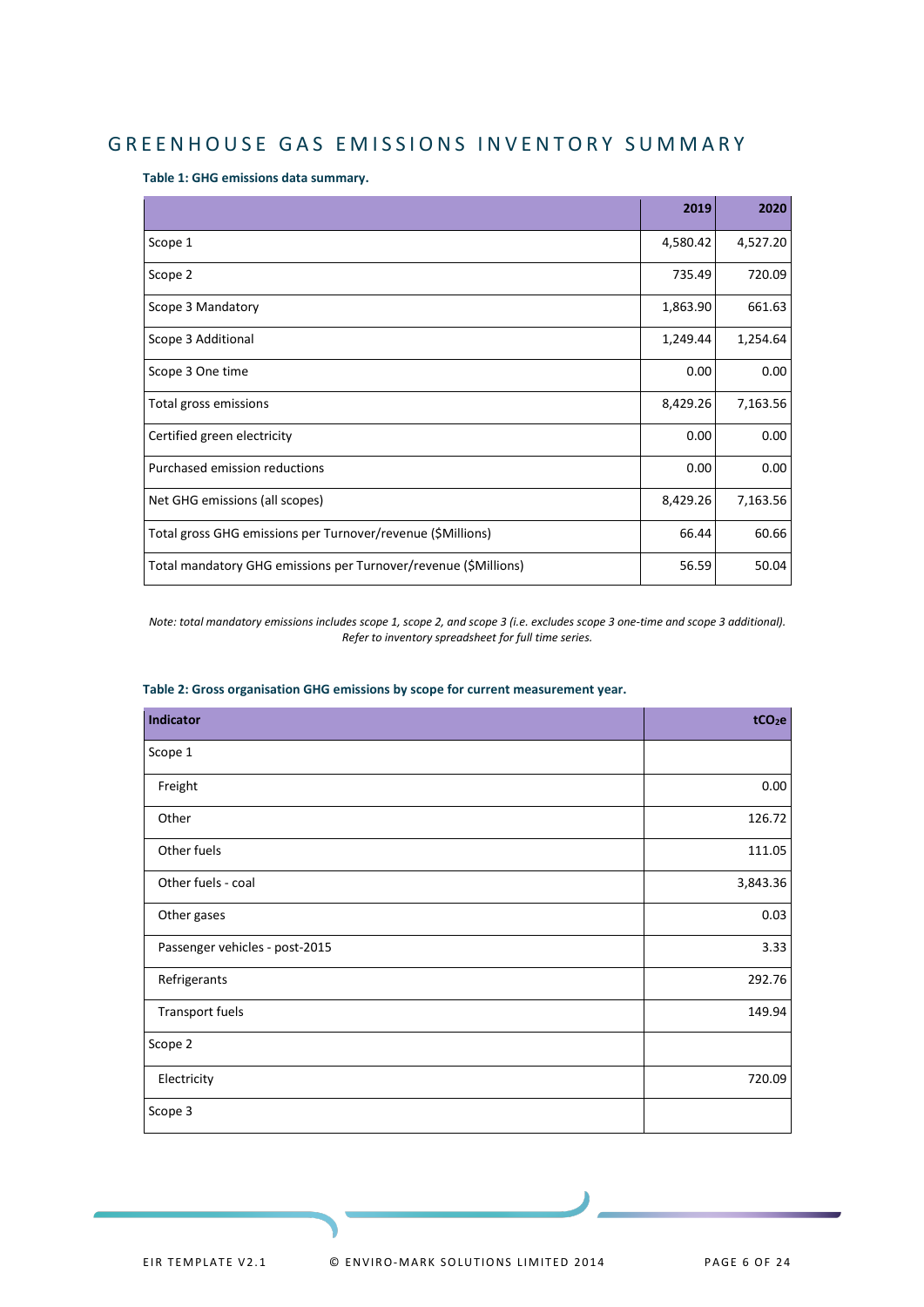## <span id="page-4-0"></span>GREENHOUSE GAS EMISSIONS INVENTORY SUMMARY

<span id="page-4-1"></span>**Table 1: GHG emissions data summary.**

|                                                                 | 2019     | 2020     |
|-----------------------------------------------------------------|----------|----------|
| Scope 1                                                         | 4,580.42 | 4,527.20 |
| Scope 2                                                         | 735.49   | 720.09   |
| Scope 3 Mandatory                                               | 1,863.90 | 661.63   |
| Scope 3 Additional                                              | 1,249.44 | 1,254.64 |
| Scope 3 One time                                                | 0.00     | 0.00     |
| Total gross emissions                                           | 8,429.26 | 7,163.56 |
| Certified green electricity                                     | 0.00     | 0.00     |
| Purchased emission reductions                                   | 0.00     | 0.00     |
| Net GHG emissions (all scopes)                                  | 8,429.26 | 7,163.56 |
| Total gross GHG emissions per Turnover/revenue (\$Millions)     | 66.44    | 60.66    |
| Total mandatory GHG emissions per Turnover/revenue (\$Millions) | 56.59    | 50.04    |

*Note: total mandatory emissions includes scope 1, scope 2, and scope 3 (i.e. excludes scope 3 one-time and scope 3 additional). Refer to inventory spreadsheet for full time series.*

| <b>Indicator</b>               | tCO <sub>2</sub> e |
|--------------------------------|--------------------|
| Scope 1                        |                    |
| Freight                        | 0.00               |
| Other                          | 126.72             |
| Other fuels                    | 111.05             |
| Other fuels - coal             | 3,843.36           |
| Other gases                    | 0.03               |
| Passenger vehicles - post-2015 | 3.33               |
| Refrigerants                   | 292.76             |
| Transport fuels                | 149.94             |
| Scope 2                        |                    |
| Electricity                    | 720.09             |
| Scope 3                        |                    |

#### <span id="page-4-2"></span>**Table 2: Gross organisation GHG emissions by scope for current measurement year.**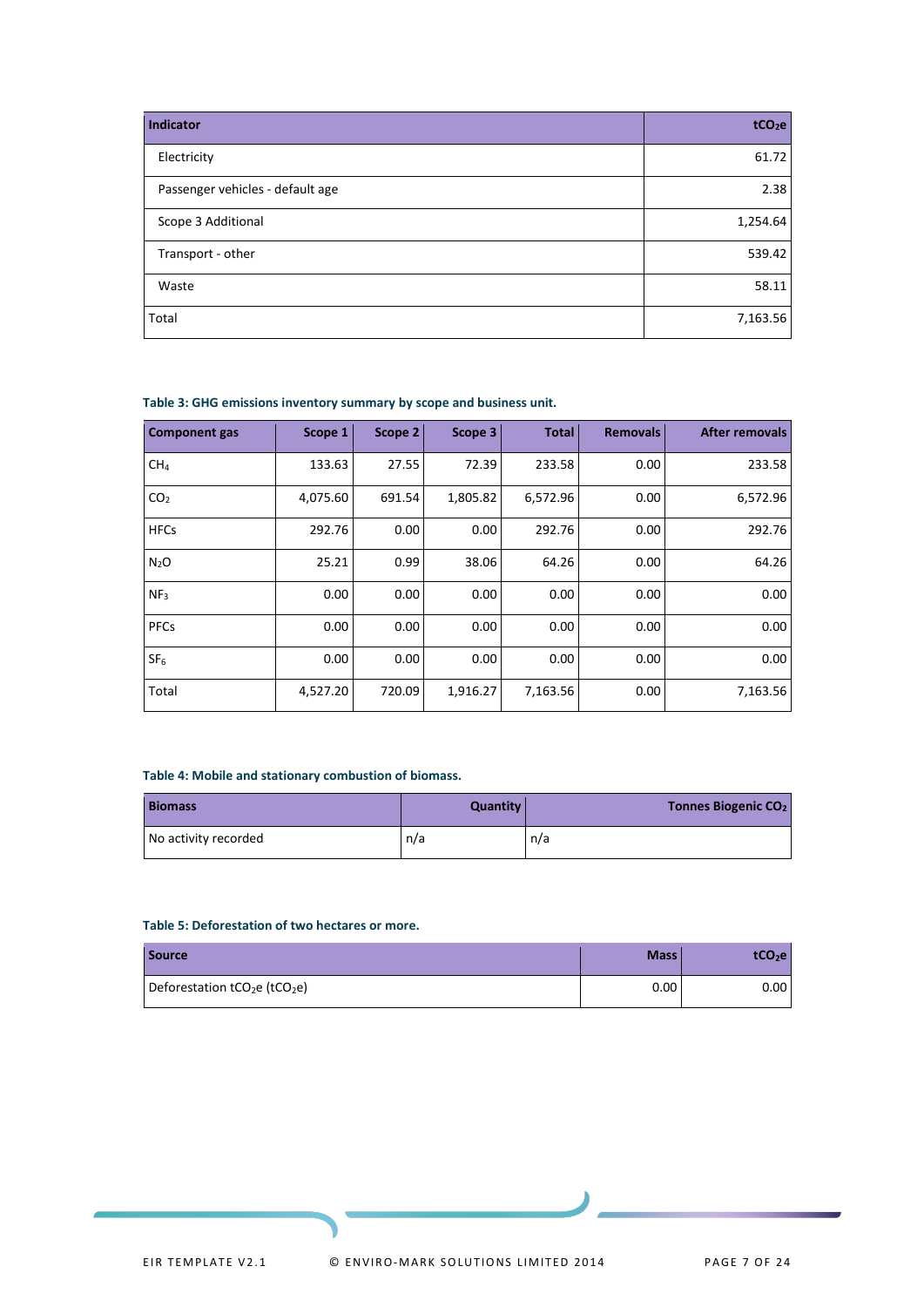| Indicator                        | tCO <sub>2</sub> e |
|----------------------------------|--------------------|
| Electricity                      | 61.72              |
| Passenger vehicles - default age | 2.38               |
| Scope 3 Additional               | 1,254.64           |
| Transport - other                | 539.42             |
| Waste                            | 58.11              |
| Total                            | 7,163.56           |

<span id="page-5-0"></span>**Table 3: GHG emissions inventory summary by scope and business unit.**

| <b>Component gas</b> | Scope 1  | Scope 2 | Scope 3  | <b>Total</b> | <b>Removals</b> | <b>After removals</b> |
|----------------------|----------|---------|----------|--------------|-----------------|-----------------------|
| CH <sub>4</sub>      | 133.63   | 27.55   | 72.39    | 233.58       | 0.00            | 233.58                |
| CO <sub>2</sub>      | 4,075.60 | 691.54  | 1,805.82 | 6,572.96     | 0.00            | 6,572.96              |
| <b>HFCs</b>          | 292.76   | 0.00    | 0.00     | 292.76       | 0.00            | 292.76                |
| N <sub>2</sub> O     | 25.21    | 0.99    | 38.06    | 64.26        | 0.00            | 64.26                 |
| NF <sub>3</sub>      | 0.00     | 0.00    | 0.00     | 0.00         | 0.00            | 0.00                  |
| <b>PFCs</b>          | 0.00     | 0.00    | 0.00     | 0.00         | 0.00            | 0.00                  |
| SF <sub>6</sub>      | 0.00     | 0.00    | 0.00     | 0.00         | 0.00            | 0.00                  |
| Total                | 4,527.20 | 720.09  | 1,916.27 | 7,163.56     | 0.00            | 7,163.56              |

#### <span id="page-5-1"></span>**Table 4: Mobile and stationary combustion of biomass.**

| <b>Biomass</b>       | Quantity | Tonnes Biogenic CO <sub>2</sub> |
|----------------------|----------|---------------------------------|
| No activity recorded | n/a      | n/a                             |

#### <span id="page-5-2"></span>**Table 5: Deforestation of two hectares or more.**

| <b>Source</b>                                         | Mass <sup>1</sup> | tCO <sub>2</sub> e |
|-------------------------------------------------------|-------------------|--------------------|
| Deforestation tCO <sub>2</sub> e (tCO <sub>2</sub> e) | 0.00              | $0.00\,$           |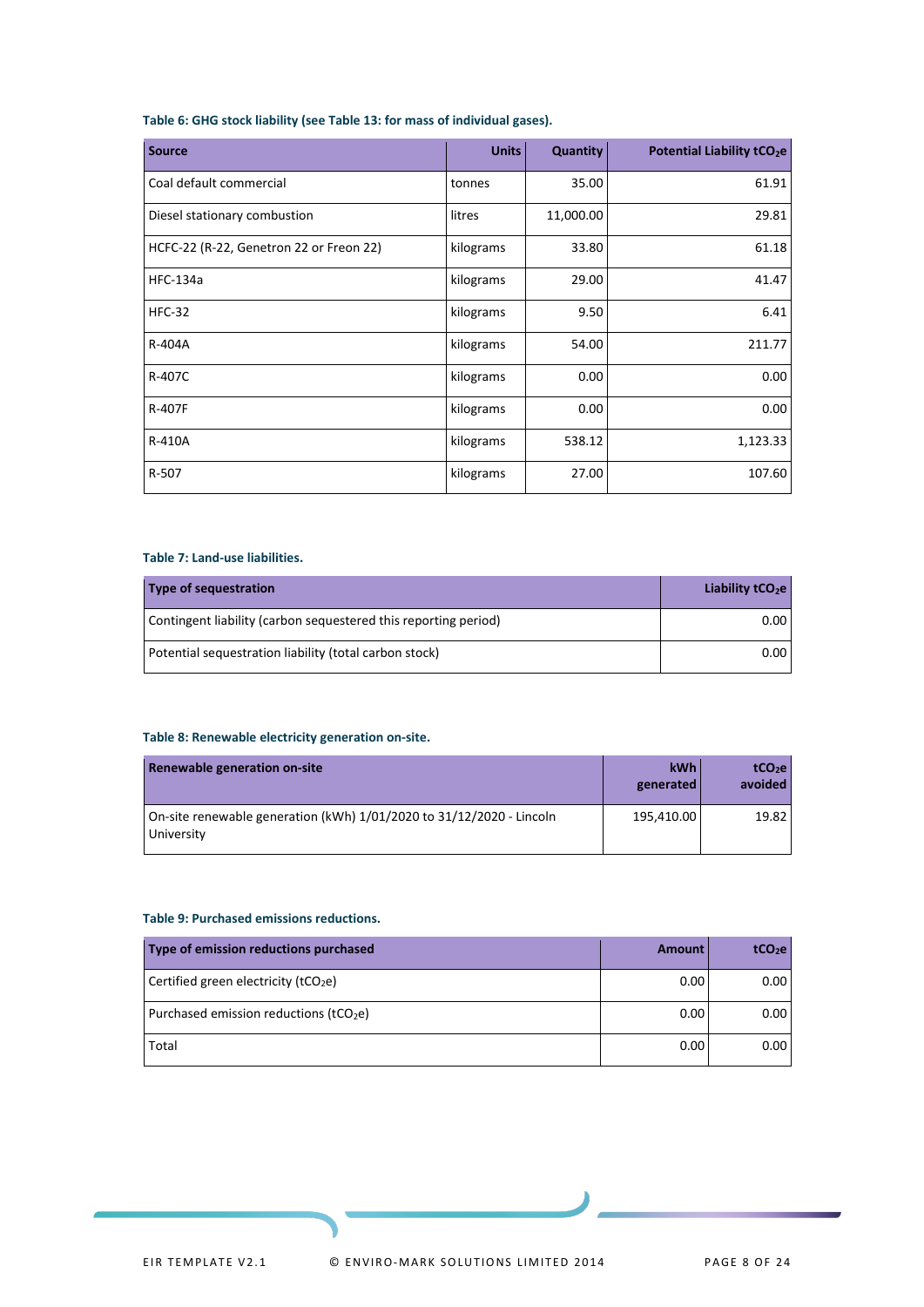#### <span id="page-6-0"></span>**Table 6: GHG stock liability (see Table 13: for mass of individual gases).**

| <b>Source</b>                           | <b>Units</b> | Quantity  | Potential Liability tCO <sub>2</sub> e |
|-----------------------------------------|--------------|-----------|----------------------------------------|
| Coal default commercial                 | tonnes       | 35.00     | 61.91                                  |
| Diesel stationary combustion            | litres       | 11,000.00 | 29.81                                  |
| HCFC-22 (R-22, Genetron 22 or Freon 22) | kilograms    | 33.80     | 61.18                                  |
| <b>HFC-134a</b>                         | kilograms    | 29.00     | 41.47                                  |
| <b>HFC-32</b>                           | kilograms    | 9.50      | 6.41                                   |
| R-404A                                  | kilograms    | 54.00     | 211.77                                 |
| R-407C                                  | kilograms    | 0.00      | 0.00                                   |
| R-407F                                  | kilograms    | 0.00      | 0.00                                   |
| R-410A                                  | kilograms    | 538.12    | 1,123.33                               |
| R-507                                   | kilograms    | 27.00     | 107.60                                 |

#### <span id="page-6-1"></span>**Table 7: Land-use liabilities.**

| Type of sequestration                                           | Liability $tCO2e$ |
|-----------------------------------------------------------------|-------------------|
| Contingent liability (carbon sequestered this reporting period) | 0.00 <sub>1</sub> |
| Potential sequestration liability (total carbon stock)          | 0.00              |

#### <span id="page-6-2"></span>**Table 8: Renewable electricity generation on-site.**

| Renewable generation on-site                                                       | <b>kWh</b><br>generated | tCO <sub>2</sub> e<br>avoided |
|------------------------------------------------------------------------------------|-------------------------|-------------------------------|
| On-site renewable generation (kWh) 1/01/2020 to 31/12/2020 - Lincoln<br>University | 195.410.00              | 19.82                         |

#### <span id="page-6-3"></span>**Table 9: Purchased emissions reductions.**

| Type of emission reductions purchased     | Amount | tCO <sub>2</sub> e |
|-------------------------------------------|--------|--------------------|
| Certified green electricity ( $tCO2e$ )   | 0.00   | 0.00               |
| Purchased emission reductions ( $tCO2e$ ) | 0.00   | 0.00               |
| Total                                     | 0.00   | 0.00               |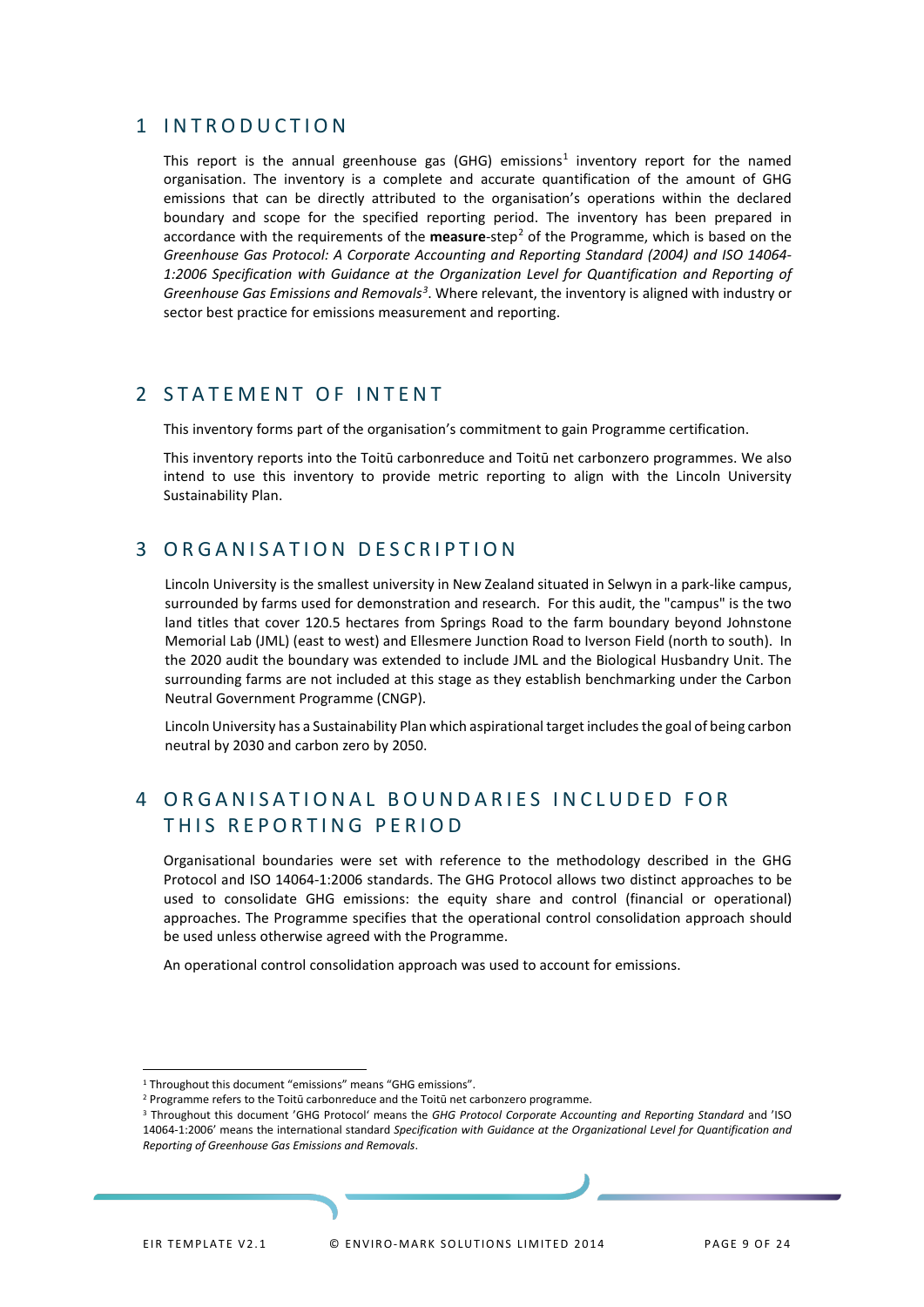### <span id="page-7-0"></span>1 INTRODUCTION

This report is the annual greenhouse gas (GHG) emissions<sup>[1](#page-7-4)</sup> inventory report for the named organisation. The inventory is a complete and accurate quantification of the amount of GHG emissions that can be directly attributed to the organisation's operations within the declared boundary and scope for the specified reporting period. The inventory has been prepared in accordance with the requirements of the **measure**-step[2](#page-7-5) of the Programme, which is based on the *Greenhouse Gas Protocol: A Corporate Accounting and Reporting Standard (2004) and ISO 14064- 1:2006 Specification with Guidance at the Organization Level for Quantification and Reporting of Greenhouse Gas Emissions and Removals[3](#page-7-6)* . Where relevant, the inventory is aligned with industry or sector best practice for emissions measurement and reporting.

### <span id="page-7-1"></span>2 STATEMENT OF INTENT

This inventory forms part of the organisation's commitment to gain Programme certification.

This inventory reports into the Toitū carbonreduce and Toitū net carbonzero programmes. We also intend to use this inventory to provide metric reporting to align with the Lincoln University Sustainability Plan.

## <span id="page-7-2"></span>3 ORGANISATION DESCRIPTION

Lincoln University is the smallest university in New Zealand situated in Selwyn in a park-like campus, surrounded by farms used for demonstration and research. For this audit, the "campus" is the two land titles that cover 120.5 hectares from Springs Road to the farm boundary beyond Johnstone Memorial Lab (JML) (east to west) and Ellesmere Junction Road to Iverson Field (north to south). In the 2020 audit the boundary was extended to include JML and the Biological Husbandry Unit. The surrounding farms are not included at this stage as they establish benchmarking under the Carbon Neutral Government Programme (CNGP).

Lincoln University has a Sustainability Plan which aspirational target includes the goal of being carbon neutral by 2030 and carbon zero by 2050.

## <span id="page-7-3"></span>4 ORGANISATIONAL BOUNDARIES INCLUDED FOR THIS REPORTING PERIOD

Organisational boundaries were set with reference to the methodology described in the GHG Protocol and ISO 14064-1:2006 standards. The GHG Protocol allows two distinct approaches to be used to consolidate GHG emissions: the equity share and control (financial or operational) approaches. The Programme specifies that the operational control consolidation approach should be used unless otherwise agreed with the Programme.

An operational control consolidation approach was used to account for emissions.

<span id="page-7-4"></span><sup>&</sup>lt;sup>1</sup> Throughout this document "emissions" means "GHG emissions".

<span id="page-7-5"></span><sup>&</sup>lt;sup>2</sup> Programme refers to the Toitū carbonreduce and the Toitū net carbonzero programme.

<span id="page-7-6"></span><sup>3</sup> Throughout this document 'GHG Protocol' means the *GHG Protocol Corporate Accounting and Reporting Standard* and 'ISO 14064-1:2006' means the international standard *Specification with Guidance at the Organizational Level for Quantification and Reporting of Greenhouse Gas Emissions and Removals*.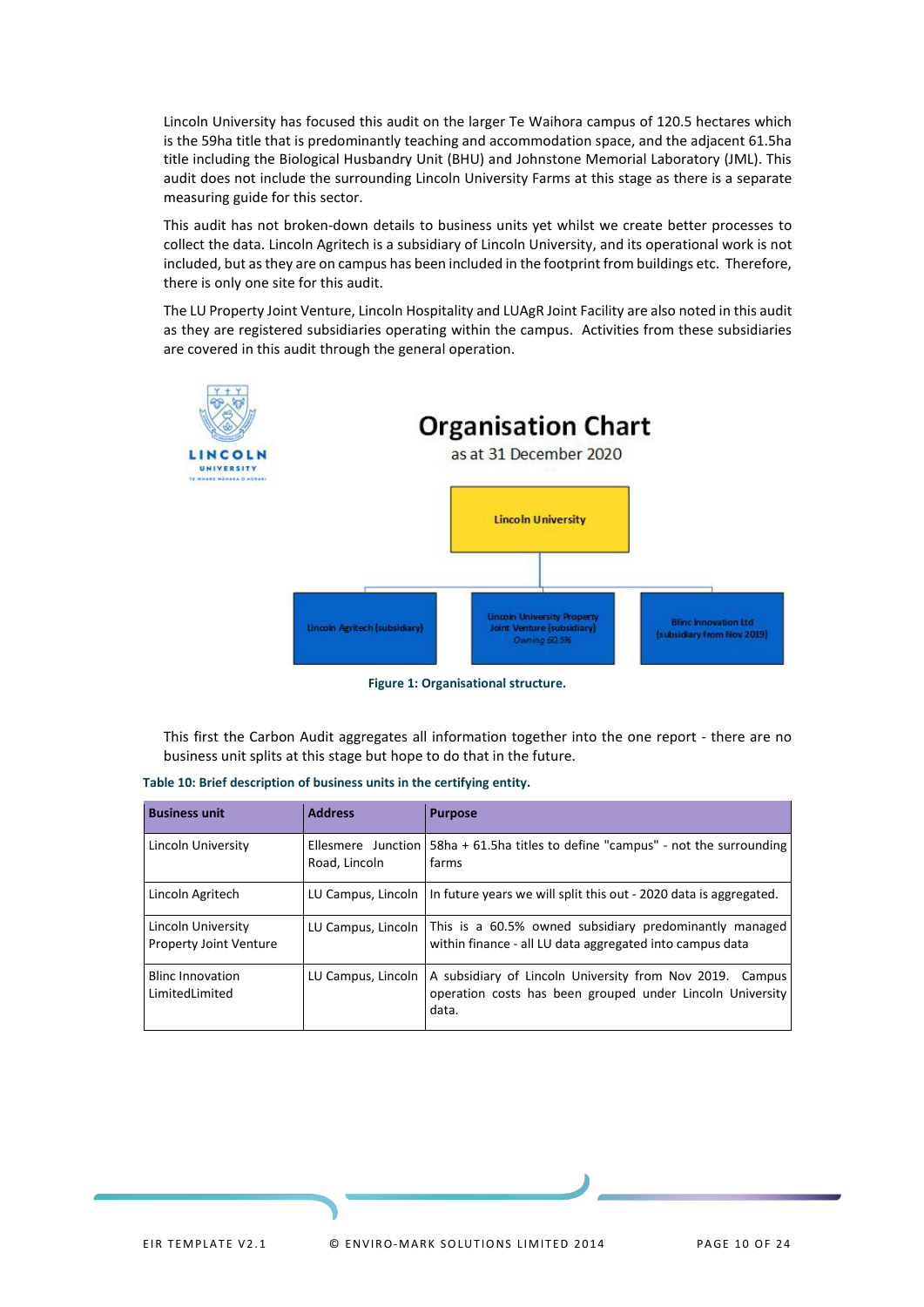Lincoln University has focused this audit on the larger Te Waihora campus of 120.5 hectares which is the 59ha title that is predominantly teaching and accommodation space, and the adjacent 61.5ha title including the Biological Husbandry Unit (BHU) and Johnstone Memorial Laboratory (JML). This audit does not include the surrounding Lincoln University Farms at this stage as there is a separate measuring guide for this sector.

This audit has not broken-down details to business units yet whilst we create better processes to collect the data. Lincoln Agritech is a subsidiary of Lincoln University, and its operational work is not included, but as they are on campus has been included in the footprint from buildings etc. Therefore, there is only one site for this audit.

The LU Property Joint Venture, Lincoln Hospitality and LUAgR Joint Facility are also noted in this audit as they are registered subsidiaries operating within the campus. Activities from these subsidiaries are covered in this audit through the general operation.



**Figure 1: Organisational structure.**

<span id="page-8-1"></span>This first the Carbon Audit aggregates all information together into the one report - there are no business unit splits at this stage but hope to do that in the future.

| <b>Business unit</b>                                | <b>Address</b>     | <b>Purpose</b>                                                                                                                          |
|-----------------------------------------------------|--------------------|-----------------------------------------------------------------------------------------------------------------------------------------|
| Lincoln University                                  | Road, Lincoln      | Ellesmere Junction   58ha + 61.5ha titles to define "campus" - not the surrounding<br>farms                                             |
| Lincoln Agritech                                    |                    | LU Campus, Lincoln   In future years we will split this out $-$ 2020 data is aggregated.                                                |
| Lincoln University<br><b>Property Joint Venture</b> |                    | LU Campus, Lincoln   This is a 60.5% owned subsidiary predominantly managed<br>within finance - all LU data aggregated into campus data |
| <b>Blinc Innovation</b><br>LimitedLimited           | LU Campus, Lincoln | A subsidiary of Lincoln University from Nov 2019. Campus<br>operation costs has been grouped under Lincoln University<br>data.          |

<span id="page-8-0"></span>**Table 10: Brief description of business units in the certifying entity.**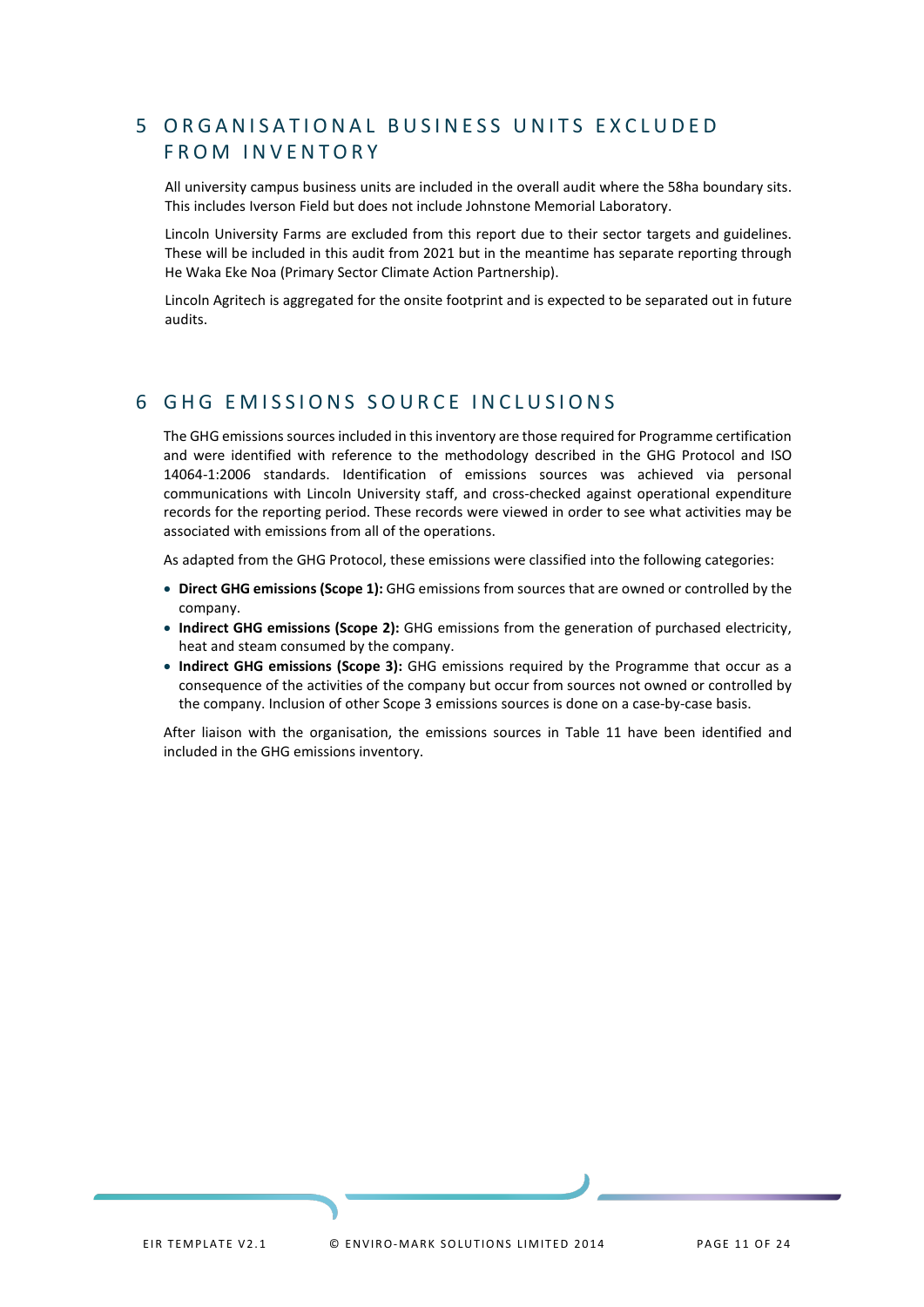## <span id="page-9-0"></span>5 ORGANISATIONAL BUSINESS UNITS EXCLUDED FROM INVENTORY

All university campus business units are included in the overall audit where the 58ha boundary sits. This includes Iverson Field but does not include Johnstone Memorial Laboratory.

Lincoln University Farms are excluded from this report due to their sector targets and guidelines. These will be included in this audit from 2021 but in the meantime has separate reporting through He Waka Eke Noa (Primary Sector Climate Action Partnership).

Lincoln Agritech is aggregated for the onsite footprint and is expected to be separated out in future audits.

### <span id="page-9-1"></span>6 GHG EMISSIONS SOURCE INCLUSIONS

The GHG emissions sources included in this inventory are those required for Programme certification and were identified with reference to the methodology described in the GHG Protocol and ISO 14064-1:2006 standards. Identification of emissions sources was achieved via personal communications with Lincoln University staff, and cross-checked against operational expenditure records for the reporting period. These records were viewed in order to see what activities may be associated with emissions from all of the operations.

As adapted from the GHG Protocol, these emissions were classified into the following categories:

- **Direct GHG emissions (Scope 1):** GHG emissions from sources that are owned or controlled by the company.
- **Indirect GHG emissions (Scope 2):** GHG emissions from the generation of purchased electricity, heat and steam consumed by the company.
- **Indirect GHG emissions (Scope 3):** GHG emissions required by the Programme that occur as a consequence of the activities of the company but occur from sources not owned or controlled by the company. Inclusion of other Scope 3 emissions sources is done on a case-by-case basis.

After liaison with the organisation, the emissions sources in Table 11 have been identified and included in the GHG emissions inventory.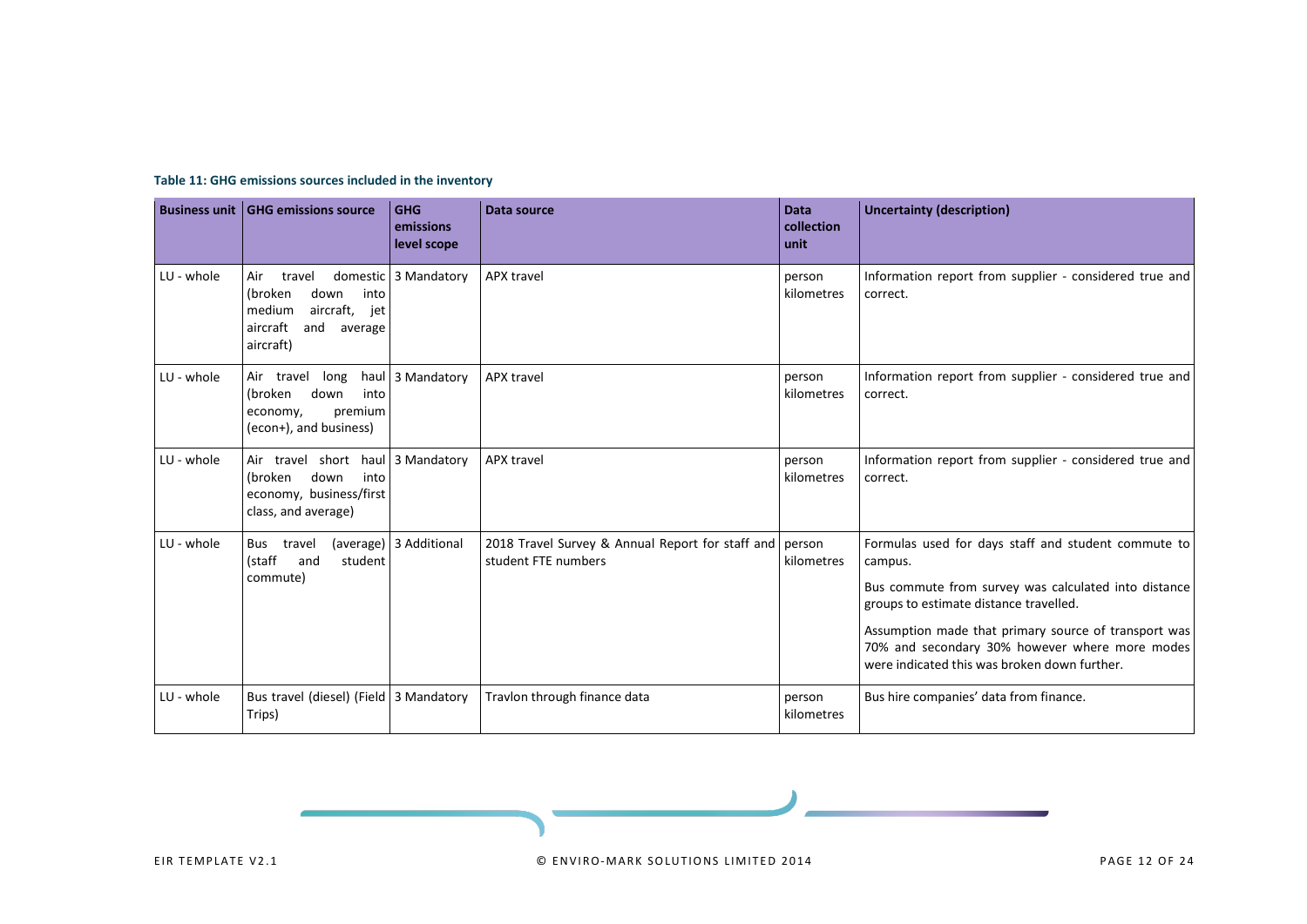<span id="page-10-0"></span>

|            | <b>Business unit GHG emissions source</b>                                                                      | <b>GHG</b><br>emissions<br>level scope | Data source                                                             | <b>Data</b><br>collection<br>unit | <b>Uncertainty (description)</b>                                                                                                                       |
|------------|----------------------------------------------------------------------------------------------------------------|----------------------------------------|-------------------------------------------------------------------------|-----------------------------------|--------------------------------------------------------------------------------------------------------------------------------------------------------|
| LU - whole | Air<br>travel<br>(broken<br>down<br>into<br>aircraft, jet<br>medium<br>aircraft<br>and<br>average<br>aircraft) | domestic 3 Mandatory                   | <b>APX travel</b>                                                       | person<br>kilometres              | Information report from supplier - considered true and<br>correct.                                                                                     |
| LU - whole | long<br>Air travel<br>(broken<br>down<br>into<br>premium<br>economy,<br>(econ+), and business)                 |                                        | haul 3 Mandatory<br><b>APX travel</b><br>person<br>kilometres           |                                   | Information report from supplier - considered true and<br>correct.                                                                                     |
| LU - whole | Air travel short haul 3 Mandatory<br>into<br>down<br>(broken<br>economy, business/first<br>class, and average) |                                        | APX travel                                                              | person<br>kilometres              | Information report from supplier - considered true and<br>correct.                                                                                     |
| LU - whole | Bus travel<br>(staff<br>and<br>student                                                                         | (average) 3 Additional                 | 2018 Travel Survey & Annual Report for staff and<br>student FTE numbers | person<br>kilometres              | Formulas used for days staff and student commute to<br>campus.                                                                                         |
|            | commute)                                                                                                       |                                        |                                                                         |                                   | Bus commute from survey was calculated into distance<br>groups to estimate distance travelled.                                                         |
|            |                                                                                                                |                                        |                                                                         |                                   | Assumption made that primary source of transport was<br>70% and secondary 30% however where more modes<br>were indicated this was broken down further. |
| LU - whole | Bus travel (diesel) (Field<br>Trips)                                                                           | 3 Mandatory                            | Travlon through finance data                                            | person<br>kilometres              | Bus hire companies' data from finance.                                                                                                                 |

#### **Table 11: GHG emissions sources included in the inventory**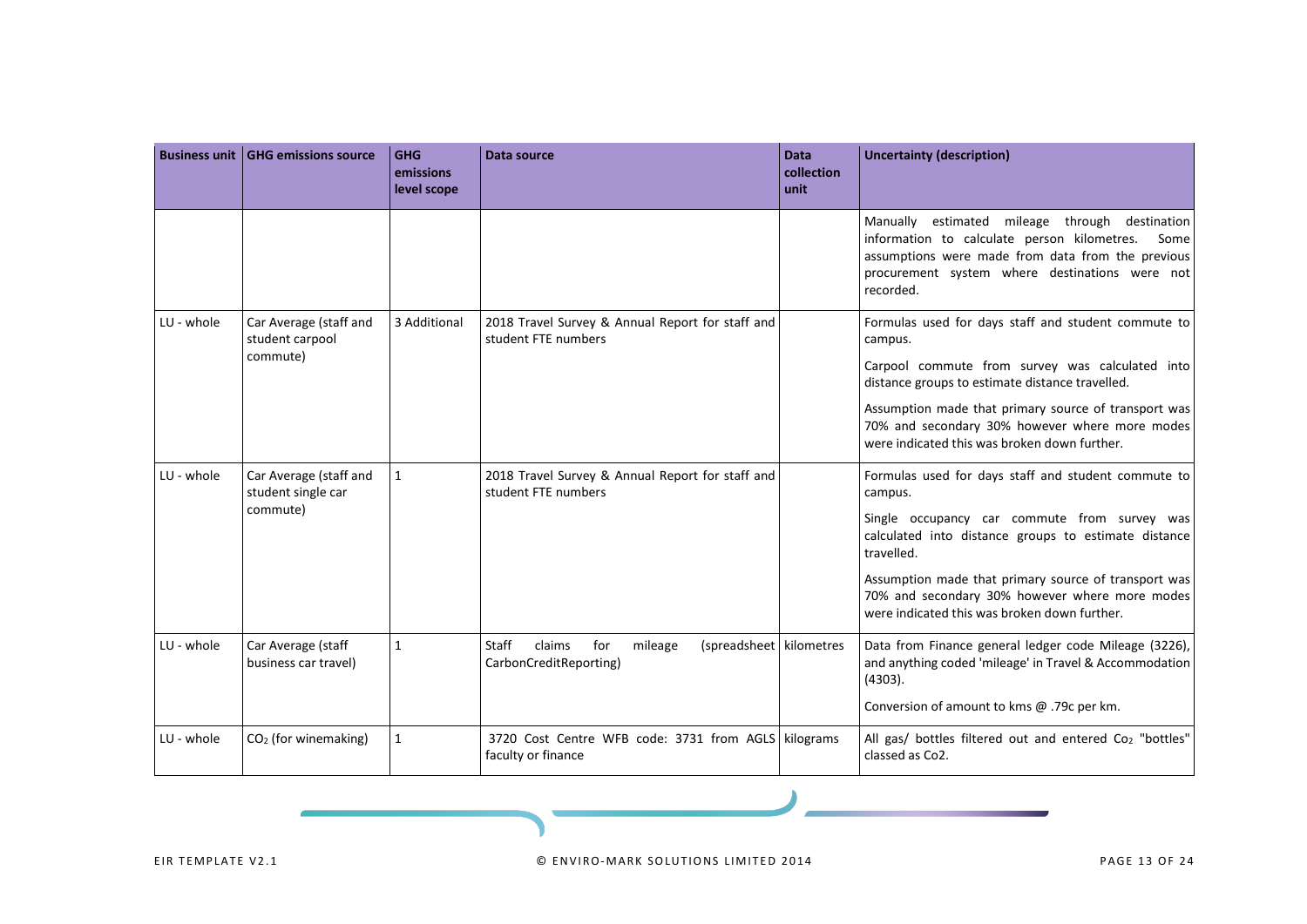|            | <b>Business unit   GHG emissions source</b>  | <b>GHG</b><br>emissions<br>level scope | Data source                                                                                   | <b>Data</b><br>collection<br>unit | <b>Uncertainty (description)</b>                                                                                                                                                                                          |
|------------|----------------------------------------------|----------------------------------------|-----------------------------------------------------------------------------------------------|-----------------------------------|---------------------------------------------------------------------------------------------------------------------------------------------------------------------------------------------------------------------------|
|            |                                              |                                        |                                                                                               |                                   | Manually estimated mileage through destination<br>information to calculate person kilometres.<br>Some<br>assumptions were made from data from the previous<br>procurement system where destinations were not<br>recorded. |
| LU - whole | Car Average (staff and<br>student carpool    | 3 Additional                           | 2018 Travel Survey & Annual Report for staff and<br>student FTE numbers                       |                                   | Formulas used for days staff and student commute to<br>campus.                                                                                                                                                            |
|            | commute)                                     |                                        |                                                                                               |                                   | Carpool commute from survey was calculated into<br>distance groups to estimate distance travelled.                                                                                                                        |
|            |                                              |                                        |                                                                                               |                                   | Assumption made that primary source of transport was<br>70% and secondary 30% however where more modes<br>were indicated this was broken down further.                                                                    |
| LU - whole | Car Average (staff and<br>student single car | $\mathbf{1}$                           | 2018 Travel Survey & Annual Report for staff and<br>student FTE numbers                       |                                   | Formulas used for days staff and student commute to<br>campus.                                                                                                                                                            |
|            | commute)                                     |                                        |                                                                                               |                                   | Single occupancy car commute from survey was<br>calculated into distance groups to estimate distance<br>travelled.                                                                                                        |
|            |                                              |                                        |                                                                                               |                                   | Assumption made that primary source of transport was<br>70% and secondary 30% however where more modes<br>were indicated this was broken down further.                                                                    |
| LU - whole | Car Average (staff<br>business car travel)   | $\mathbf{1}$                           | <b>Staff</b><br>claims<br>(spreadsheet kilometres<br>for<br>mileage<br>CarbonCreditReporting) |                                   | Data from Finance general ledger code Mileage (3226),<br>and anything coded 'mileage' in Travel & Accommodation<br>(4303).                                                                                                |
|            |                                              |                                        |                                                                                               |                                   | Conversion of amount to kms @ .79c per km.                                                                                                                                                                                |
| LU - whole | $CO2$ (for winemaking)                       | $\mathbf{1}$                           | 3720 Cost Centre WFB code: 3731 from AGLS kilograms<br>faculty or finance                     |                                   | All gas/ bottles filtered out and entered Co <sub>2</sub> "bottles"<br>classed as Co2.                                                                                                                                    |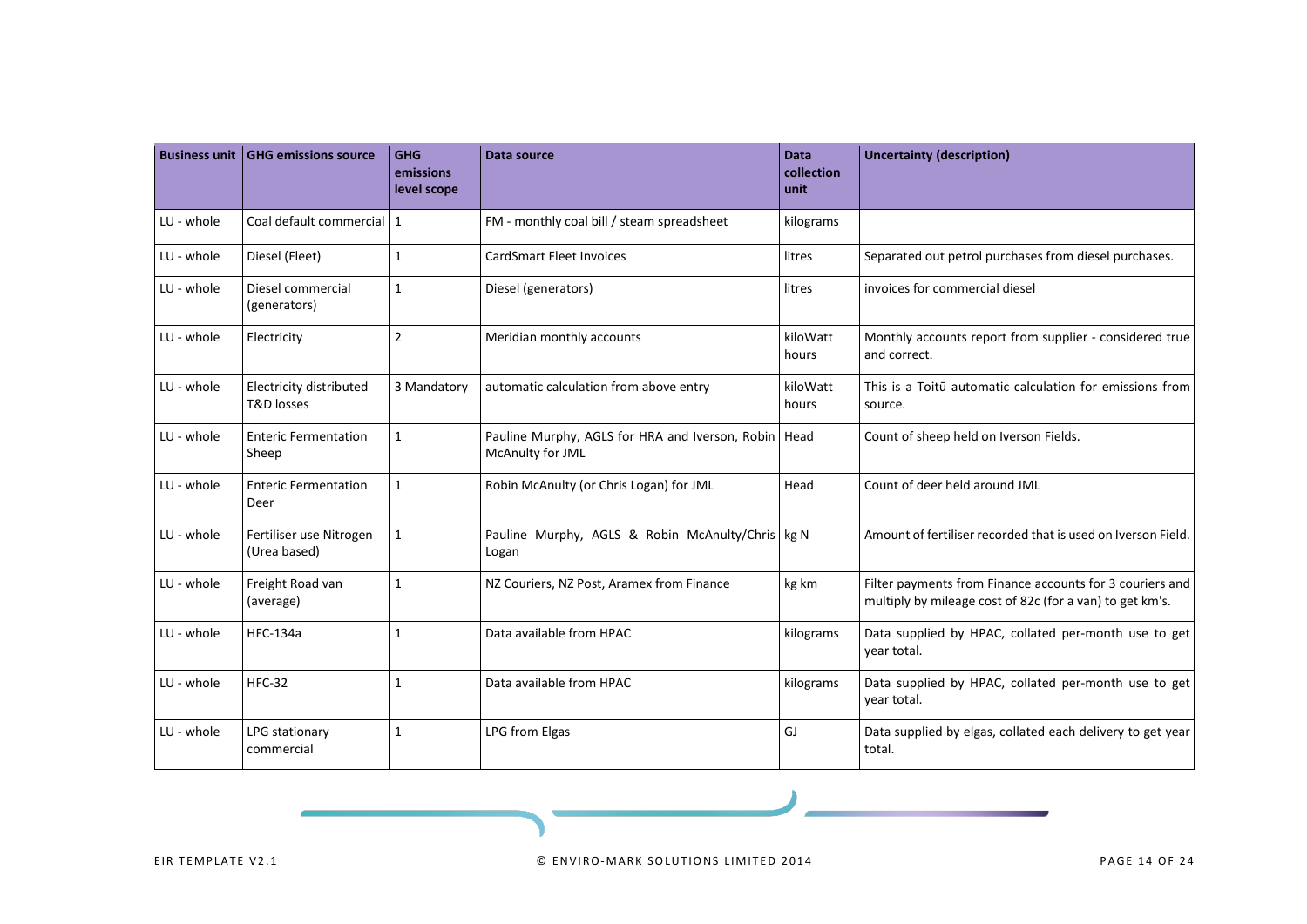| <b>Business unit</b> | <b>GHG emissions source</b>                      | <b>GHG</b><br>emissions<br>level scope | Data source                                                                | <b>Data</b><br>collection<br>unit | <b>Uncertainty (description)</b>                                                                                     |
|----------------------|--------------------------------------------------|----------------------------------------|----------------------------------------------------------------------------|-----------------------------------|----------------------------------------------------------------------------------------------------------------------|
| LU - whole           | Coal default commercial   1                      |                                        | FM - monthly coal bill / steam spreadsheet                                 | kilograms                         |                                                                                                                      |
| LU - whole           | Diesel (Fleet)                                   | $\mathbf{1}$                           | <b>CardSmart Fleet Invoices</b>                                            | litres                            | Separated out petrol purchases from diesel purchases.                                                                |
| LU - whole           | Diesel commercial<br>(generators)                | $\mathbf{1}$                           | Diesel (generators)                                                        | litres                            | invoices for commercial diesel                                                                                       |
| LU - whole           | Electricity                                      | $\overline{2}$                         | Meridian monthly accounts                                                  | kiloWatt<br>hours                 | Monthly accounts report from supplier - considered true<br>and correct.                                              |
| LU - whole           | Electricity distributed<br><b>T&amp;D</b> losses | 3 Mandatory                            | automatic calculation from above entry                                     | kiloWatt<br>hours                 | This is a Toitū automatic calculation for emissions from<br>source.                                                  |
| LU - whole           | <b>Enteric Fermentation</b><br>Sheep             | $\mathbf{1}$                           | Pauline Murphy, AGLS for HRA and Iverson, Robin   Head<br>McAnulty for JML |                                   | Count of sheep held on Iverson Fields.                                                                               |
| LU - whole           | <b>Enteric Fermentation</b><br>Deer              | $\mathbf{1}$                           | Robin McAnulty (or Chris Logan) for JML                                    | Head                              | Count of deer held around JML                                                                                        |
| LU - whole           | Fertiliser use Nitrogen<br>(Urea based)          | $\mathbf{1}$                           | Pauline Murphy, AGLS & Robin McAnulty/Chris kg N<br>Logan                  |                                   | Amount of fertiliser recorded that is used on Iverson Field.                                                         |
| LU - whole           | Freight Road van<br>(average)                    | $\mathbf{1}$                           | NZ Couriers, NZ Post, Aramex from Finance                                  | kg km                             | Filter payments from Finance accounts for 3 couriers and<br>multiply by mileage cost of 82c (for a van) to get km's. |
| LU - whole           | <b>HFC-134a</b>                                  | $\mathbf{1}$                           | Data available from HPAC                                                   | kilograms                         | Data supplied by HPAC, collated per-month use to get<br>vear total.                                                  |
| LU - whole           | <b>HFC-32</b>                                    | $\mathbf{1}$                           | Data available from HPAC                                                   | kilograms                         | Data supplied by HPAC, collated per-month use to get<br>year total.                                                  |
| LU - whole           | LPG stationary<br>commercial                     | $\mathbf{1}$                           | LPG from Elgas                                                             | GJ                                | Data supplied by elgas, collated each delivery to get year<br>total.                                                 |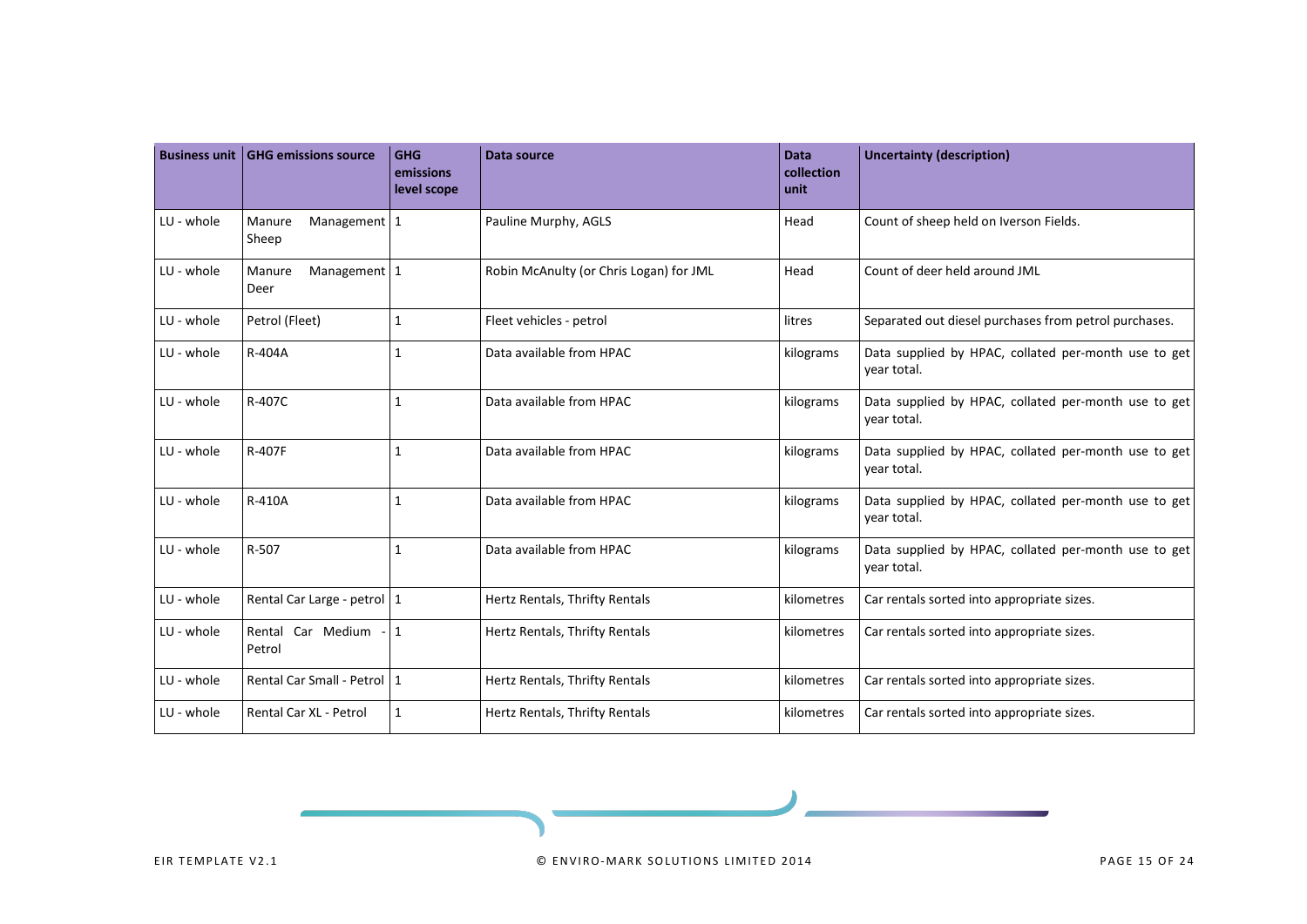|            | <b>Business unit   GHG emissions source</b>                              | <b>GHG</b><br>emissions<br>level scope | <b>Data source</b>                      | <b>Data</b><br>collection<br>unit                                                | <b>Uncertainty (description)</b>                                    |
|------------|--------------------------------------------------------------------------|----------------------------------------|-----------------------------------------|----------------------------------------------------------------------------------|---------------------------------------------------------------------|
| LU - whole | Management 1<br>Manure<br>Sheep                                          |                                        | Pauline Murphy, AGLS                    | Head                                                                             | Count of sheep held on Iverson Fields.                              |
| LU - whole | Management 1<br>Manure<br>Deer                                           |                                        | Robin McAnulty (or Chris Logan) for JML | Head                                                                             | Count of deer held around JML                                       |
| LU - whole | Petrol (Fleet)                                                           | $\mathbf{1}$                           | Fleet vehicles - petrol                 | litres                                                                           | Separated out diesel purchases from petrol purchases.               |
| LU - whole | R-404A<br>$\mathbf{1}$                                                   |                                        | Data available from HPAC                | Data supplied by HPAC, collated per-month use to get<br>kilograms<br>year total. |                                                                     |
| LU - whole | R-407C<br>$\mathbf{1}$                                                   |                                        | Data available from HPAC                | kilograms                                                                        | Data supplied by HPAC, collated per-month use to get<br>vear total. |
| LU - whole | R-407F<br>$\mathbf{1}$                                                   |                                        | Data available from HPAC                | kilograms                                                                        | Data supplied by HPAC, collated per-month use to get<br>year total. |
| LU - whole | R-410A<br>$\mathbf{1}$                                                   |                                        | Data available from HPAC                | kilograms                                                                        | Data supplied by HPAC, collated per-month use to get<br>vear total. |
| LU - whole | R-507<br>$\mathbf{1}$                                                    |                                        | Data available from HPAC                | kilograms                                                                        | Data supplied by HPAC, collated per-month use to get<br>year total. |
| LU - whole | Rental Car Large - petrol   1                                            |                                        | Hertz Rentals, Thrifty Rentals          | kilometres                                                                       | Car rentals sorted into appropriate sizes.                          |
| LU - whole | Rental Car Medium - 1<br>Petrol                                          |                                        | Hertz Rentals, Thrifty Rentals          | kilometres                                                                       | Car rentals sorted into appropriate sizes.                          |
| LU - whole | Rental Car Small - Petrol   1                                            |                                        | Hertz Rentals, Thrifty Rentals          | kilometres                                                                       | Car rentals sorted into appropriate sizes.                          |
| LU - whole | Rental Car XL - Petrol<br>$\mathbf{1}$<br>Hertz Rentals, Thrifty Rentals |                                        | kilometres                              | Car rentals sorted into appropriate sizes.                                       |                                                                     |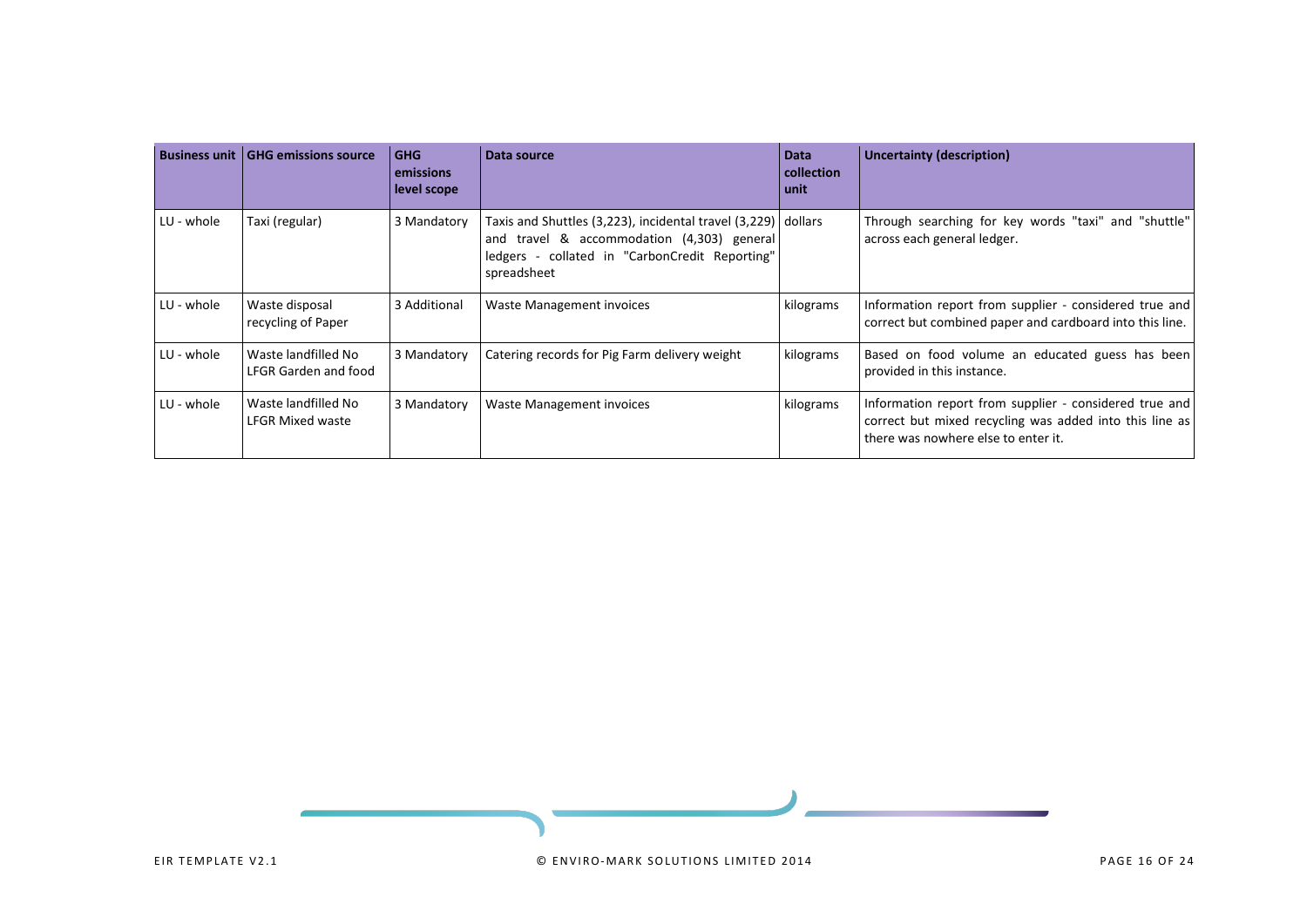| <b>Business unit</b> | <b>GHG emissions source</b>                    | <b>GHG</b><br>emissions<br>level scope | Data source                                                                                                                                                                  | <b>Data</b><br>collection<br>unit | <b>Uncertainty (description)</b>                                                                                                                           |
|----------------------|------------------------------------------------|----------------------------------------|------------------------------------------------------------------------------------------------------------------------------------------------------------------------------|-----------------------------------|------------------------------------------------------------------------------------------------------------------------------------------------------------|
| LU - whole           | Taxi (regular)                                 | 3 Mandatory                            | Taxis and Shuttles (3,223), incidental travel (3,229) dollars<br>and travel & accommodation (4,303) general<br>ledgers - collated in "CarbonCredit Reporting"<br>spreadsheet |                                   | Through searching for key words "taxi" and "shuttle"<br>across each general ledger.                                                                        |
| LU - whole           | Waste disposal<br>recycling of Paper           | 3 Additional                           | Waste Management invoices                                                                                                                                                    | kilograms                         | Information report from supplier - considered true and<br>correct but combined paper and cardboard into this line.                                         |
| LU - whole           | Waste landfilled No<br>LFGR Garden and food    | 3 Mandatory                            | Catering records for Pig Farm delivery weight                                                                                                                                | kilograms                         | Based on food volume an educated guess has been<br>provided in this instance.                                                                              |
| LU - whole           | Waste landfilled No<br><b>LFGR Mixed waste</b> | 3 Mandatory                            | Waste Management invoices                                                                                                                                                    | kilograms                         | Information report from supplier - considered true and  <br>correct but mixed recycling was added into this line as<br>there was nowhere else to enter it. |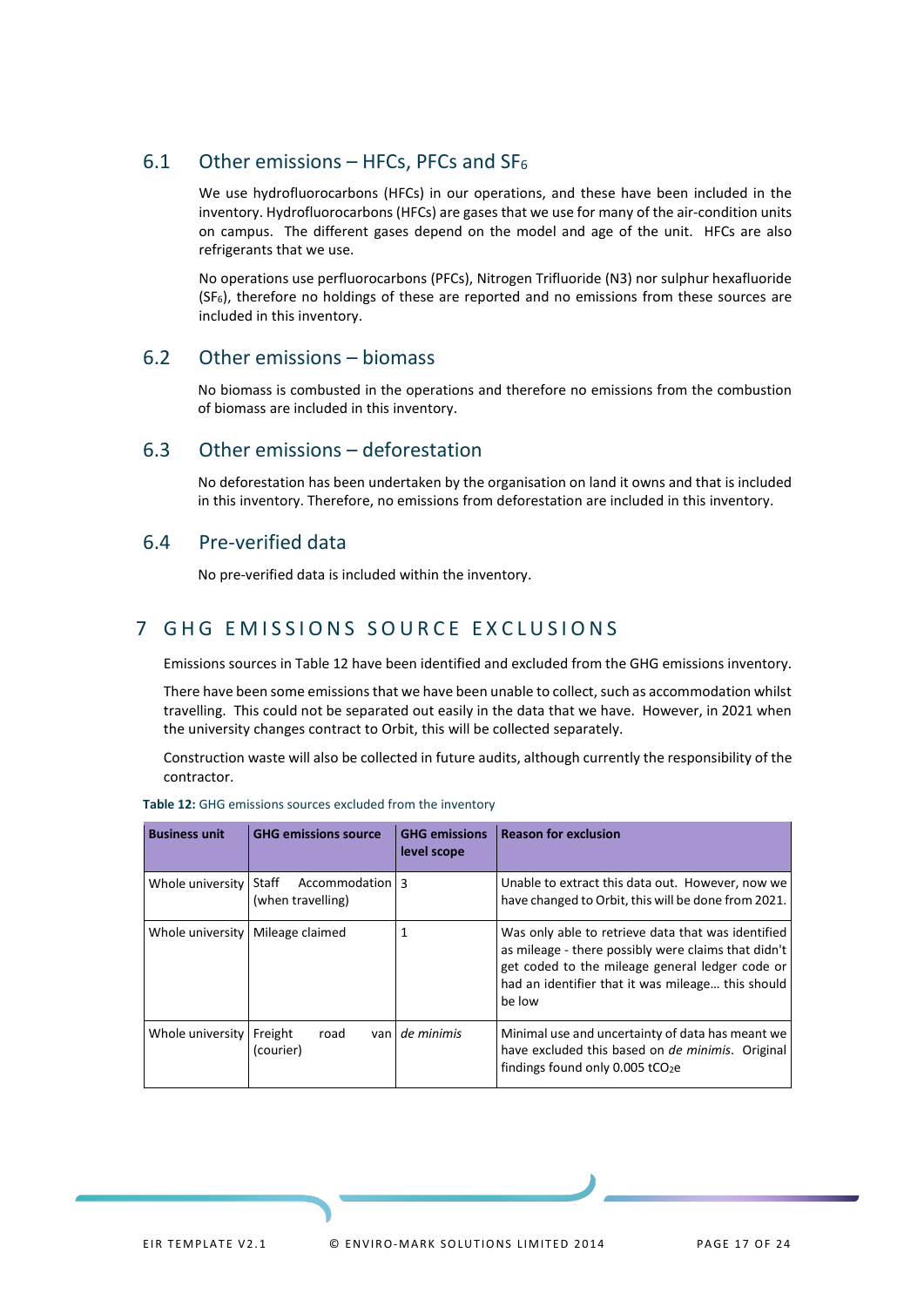### <span id="page-15-0"></span>6.1 Other emissions – HFCs, PFCs and  $SF<sub>6</sub>$

We use hydrofluorocarbons (HFCs) in our operations, and these have been included in the inventory. Hydrofluorocarbons (HFCs) are gases that we use for many of the air-condition units on campus. The different gases depend on the model and age of the unit. HFCs are also refrigerants that we use.

No operations use perfluorocarbons (PFCs), Nitrogen Trifluoride (N3) nor sulphur hexafluoride (SF6), therefore no holdings of these are reported and no emissions from these sources are included in this inventory.

### <span id="page-15-1"></span>6.2 Other emissions – biomass

No biomass is combusted in the operations and therefore no emissions from the combustion of biomass are included in this inventory.

### <span id="page-15-2"></span>6.3 Other emissions – deforestation

No deforestation has been undertaken by the organisation on land it owns and that is included in this inventory. Therefore, no emissions from deforestation are included in this inventory.

### <span id="page-15-3"></span>6.4 Pre-verified data

No pre-verified data is included within the inventory.

### <span id="page-15-4"></span>7 GHG EMISSIONS SOURCE EXCLUSIONS

Emissions sources in Table 12 have been identified and excluded from the GHG emissions inventory.

There have been some emissions that we have been unable to collect, such as accommodation whilst travelling. This could not be separated out easily in the data that we have. However, in 2021 when the university changes contract to Orbit, this will be collected separately.

Construction waste will also be collected in future audits, although currently the responsibility of the contractor.

| <b>Business unit</b> | <b>GHG emissions source</b>                   | <b>GHG emissions</b><br>level scope | <b>Reason for exclusion</b>                                                                                                                                                                                                 |
|----------------------|-----------------------------------------------|-------------------------------------|-----------------------------------------------------------------------------------------------------------------------------------------------------------------------------------------------------------------------------|
| Whole university     | Staff<br>Accommodation 3<br>(when travelling) |                                     | Unable to extract this data out. However, now we<br>have changed to Orbit, this will be done from 2021.                                                                                                                     |
| Whole university     | Mileage claimed                               |                                     | Was only able to retrieve data that was identified<br>as mileage - there possibly were claims that didn't<br>get coded to the mileage general ledger code or<br>had an identifier that it was mileage this should<br>be low |
| Whole university     | Freight<br>road<br>van<br>(courier)           | de minimis                          | Minimal use and uncertainty of data has meant we<br>have excluded this based on <i>de minimis</i> . Original<br>findings found only 0.005 tCO <sub>2</sub> e                                                                |

<span id="page-15-5"></span>**Table 12:** GHG emissions sources excluded from the inventory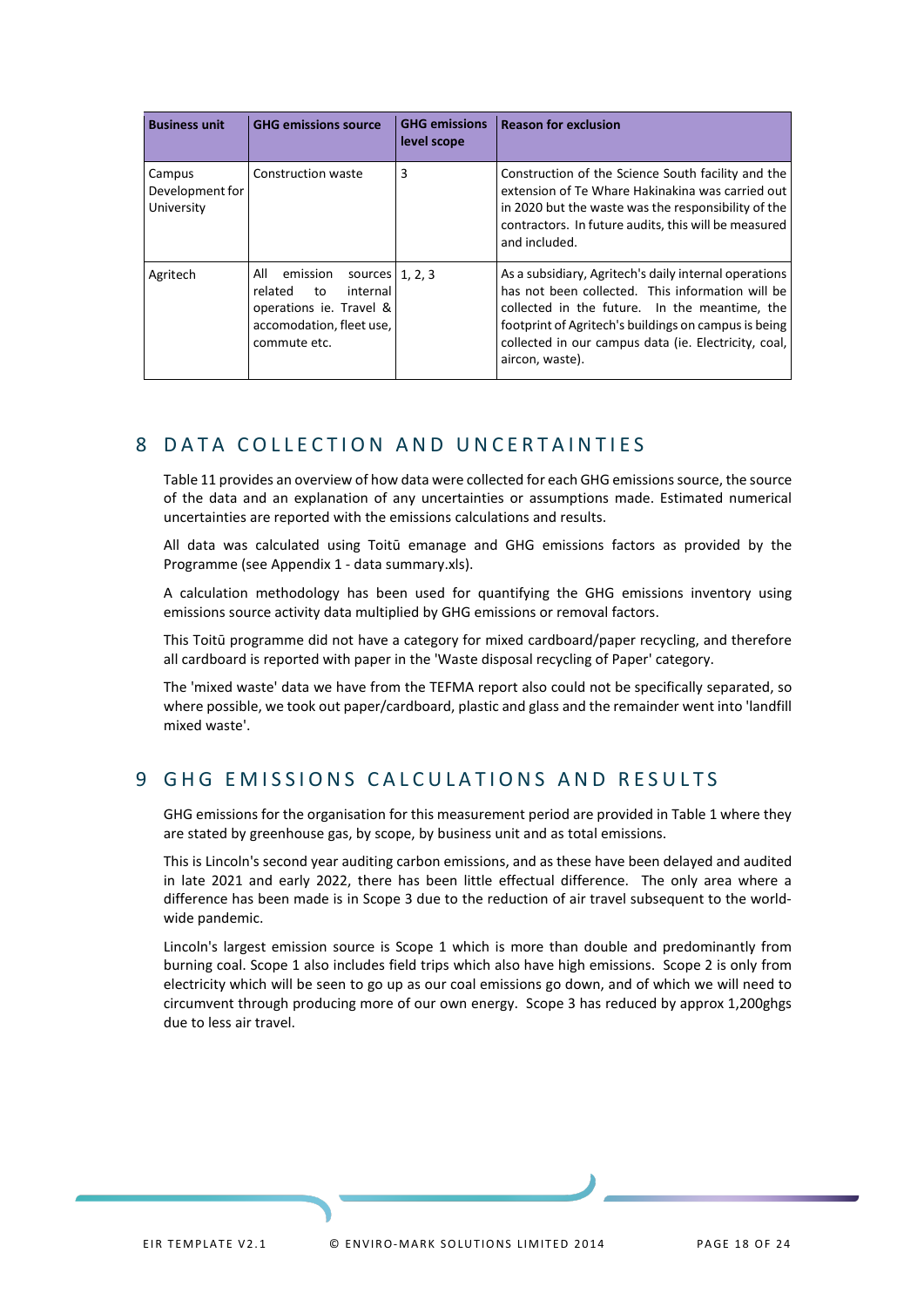| <b>Business unit</b>                    | <b>GHG emissions source</b>                                                                                                               | <b>GHG emissions</b><br>level scope | <b>Reason for exclusion</b>                                                                                                                                                                                                                                                                   |
|-----------------------------------------|-------------------------------------------------------------------------------------------------------------------------------------------|-------------------------------------|-----------------------------------------------------------------------------------------------------------------------------------------------------------------------------------------------------------------------------------------------------------------------------------------------|
| Campus<br>Development for<br>University | Construction waste                                                                                                                        | 3                                   | Construction of the Science South facility and the<br>extension of Te Whare Hakinakina was carried out<br>in 2020 but the waste was the responsibility of the<br>contractors. In future audits, this will be measured<br>and included.                                                        |
| Agritech                                | All<br>emission<br>sources $ 1, 2, 3$<br>related<br>internal<br>to<br>operations ie. Travel &<br>accomodation, fleet use,<br>commute etc. |                                     | As a subsidiary, Agritech's daily internal operations<br>has not been collected. This information will be<br>collected in the future. In the meantime, the<br>footprint of Agritech's buildings on campus is being<br>collected in our campus data (ie. Electricity, coal,<br>aircon, waste). |

## <span id="page-16-0"></span>8 DATA COLLECTION AND UNCERTAINTIES

Table 11 provides an overview of how data were collected for each GHG emissions source, the source of the data and an explanation of any uncertainties or assumptions made. Estimated numerical uncertainties are reported with the emissions calculations and results.

All data was calculated using Toitū emanage and GHG emissions factors as provided by the Programme (see Appendix 1 - data summary.xls).

A calculation methodology has been used for quantifying the GHG emissions inventory using emissions source activity data multiplied by GHG emissions or removal factors.

This Toitū programme did not have a category for mixed cardboard/paper recycling, and therefore all cardboard is reported with paper in the 'Waste disposal recycling of Paper' category.

The 'mixed waste' data we have from the TEFMA report also could not be specifically separated, so where possible, we took out paper/cardboard, plastic and glass and the remainder went into 'landfill mixed waste'.

## <span id="page-16-1"></span>9 GHG EMISSIONS CALCULATIONS AND RESULTS

GHG emissions for the organisation for this measurement period are provided in Table 1 where they are stated by greenhouse gas, by scope, by business unit and as total emissions.

This is Lincoln's second year auditing carbon emissions, and as these have been delayed and audited in late 2021 and early 2022, there has been little effectual difference. The only area where a difference has been made is in Scope 3 due to the reduction of air travel subsequent to the worldwide pandemic.

Lincoln's largest emission source is Scope 1 which is more than double and predominantly from burning coal. Scope 1 also includes field trips which also have high emissions. Scope 2 is only from electricity which will be seen to go up as our coal emissions go down, and of which we will need to circumvent through producing more of our own energy. Scope 3 has reduced by approx 1,200ghgs due to less air travel.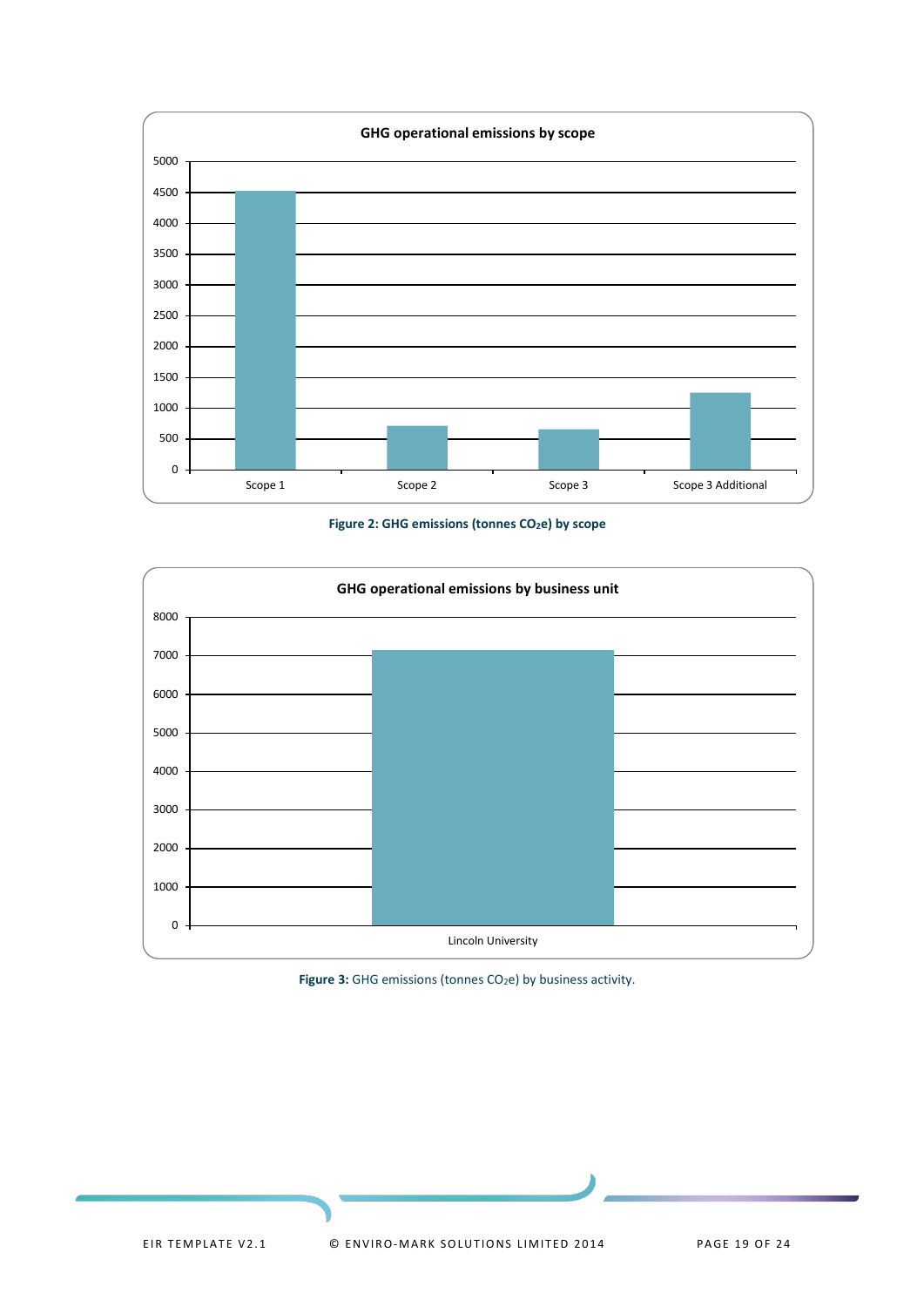

Figure 2: GHG emissions (tonnes CO<sub>2</sub>e) by scope

<span id="page-17-0"></span>

<span id="page-17-1"></span>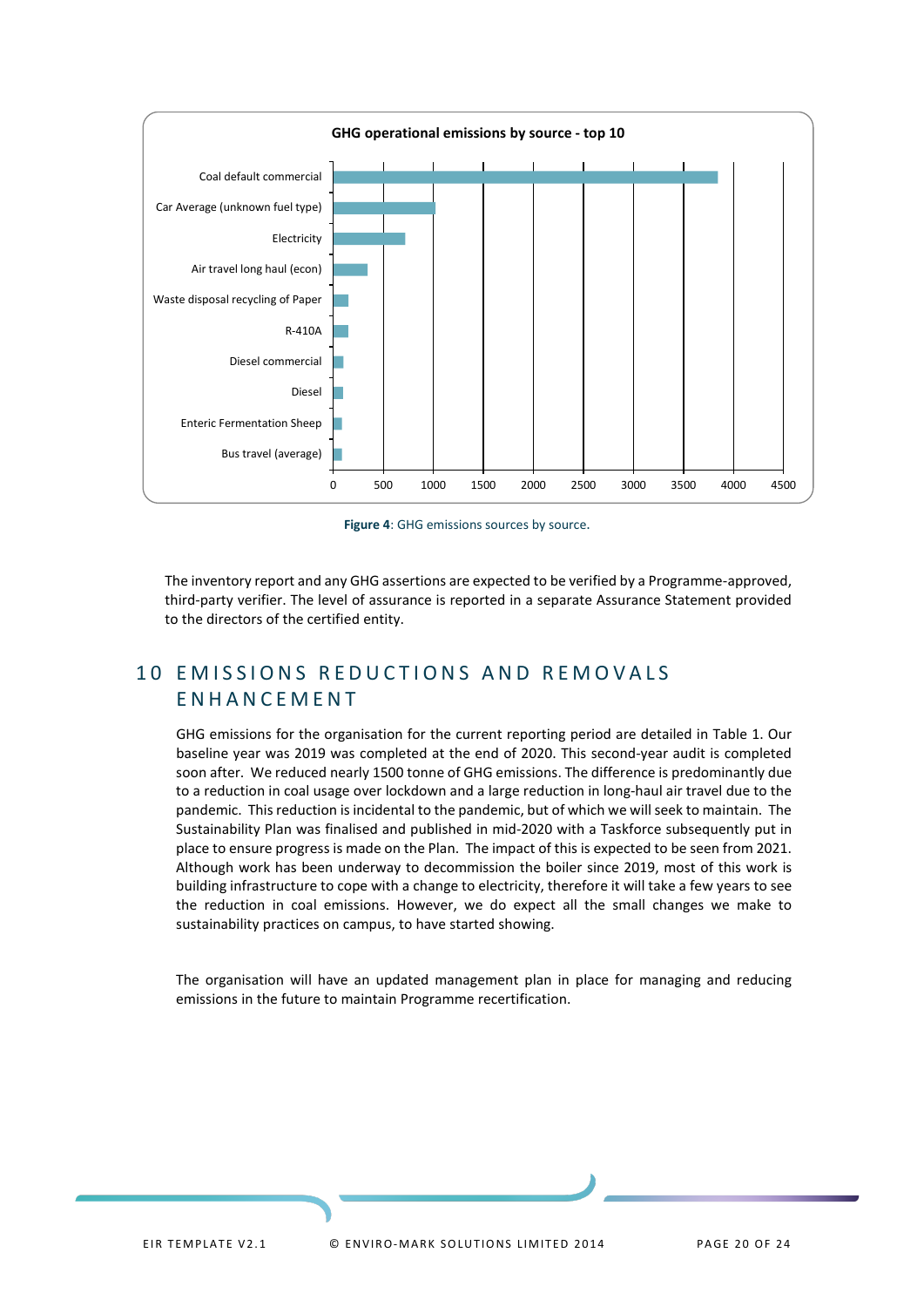

**Figure 4**: GHG emissions sources by source.

<span id="page-18-1"></span>The inventory report and any GHG assertions are expected to be verified by a Programme-approved, third-party verifier. The level of assurance is reported in a separate Assurance Statement provided to the directors of the certified entity.

## <span id="page-18-0"></span>10 EMISSIONS REDUCTIONS AND REMOVALS ENHANCEMENT

GHG emissions for the organisation for the current reporting period are detailed in Table 1. Our baseline year was 2019 was completed at the end of 2020. This second-year audit is completed soon after. We reduced nearly 1500 tonne of GHG emissions. The difference is predominantly due to a reduction in coal usage over lockdown and a large reduction in long-haul air travel due to the pandemic. This reduction is incidental to the pandemic, but of which we will seek to maintain. The Sustainability Plan was finalised and published in mid-2020 with a Taskforce subsequently put in place to ensure progress is made on the Plan. The impact of this is expected to be seen from 2021. Although work has been underway to decommission the boiler since 2019, most of this work is building infrastructure to cope with a change to electricity, therefore it will take a few years to see the reduction in coal emissions. However, we do expect all the small changes we make to sustainability practices on campus, to have started showing.

The organisation will have an updated management plan in place for managing and reducing emissions in the future to maintain Programme recertification.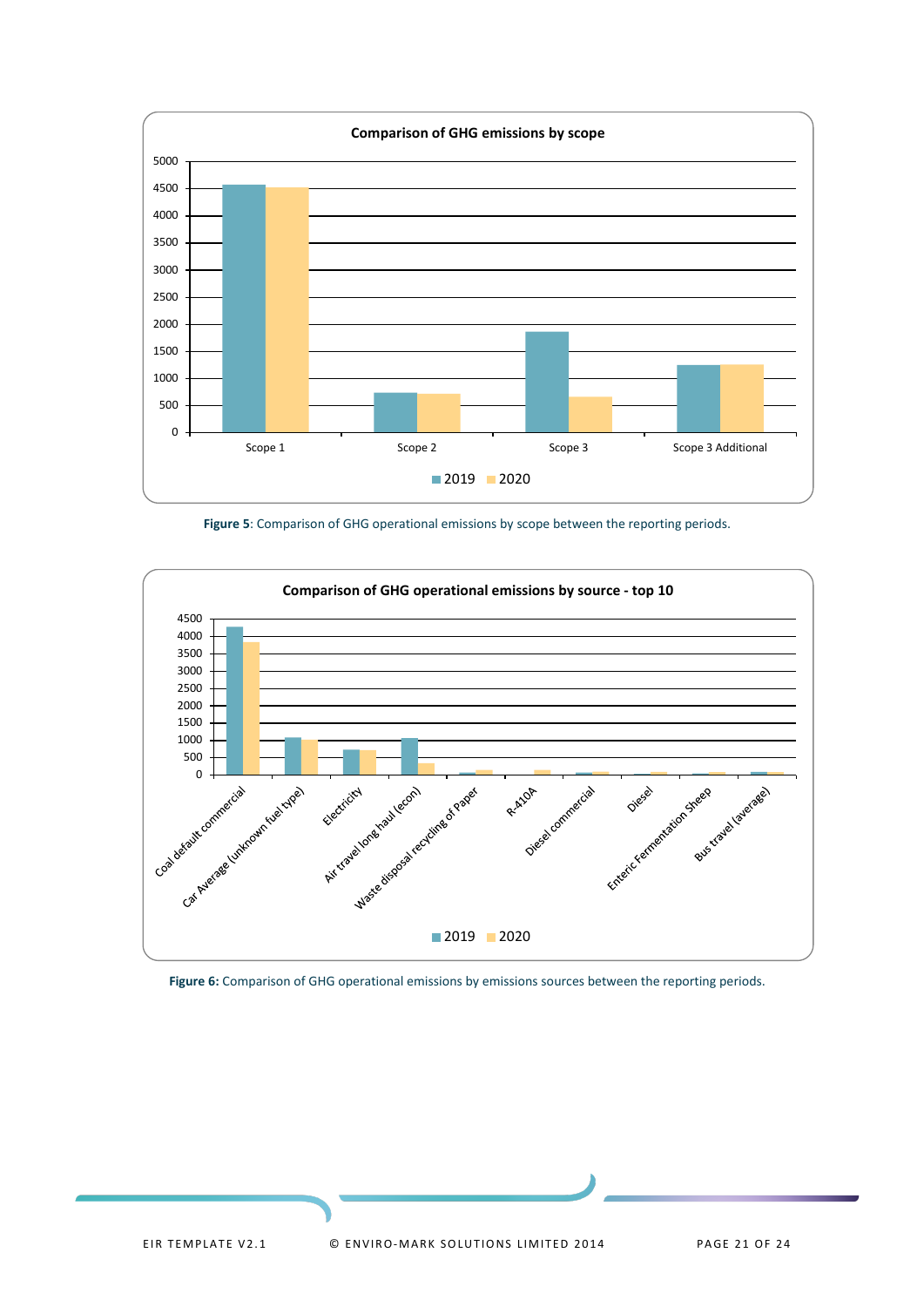

**Figure 5**: Comparison of GHG operational emissions by scope between the reporting periods.

<span id="page-19-0"></span>

<span id="page-19-1"></span>**Figure 6:** Comparison of GHG operational emissions by emissions sources between the reporting periods.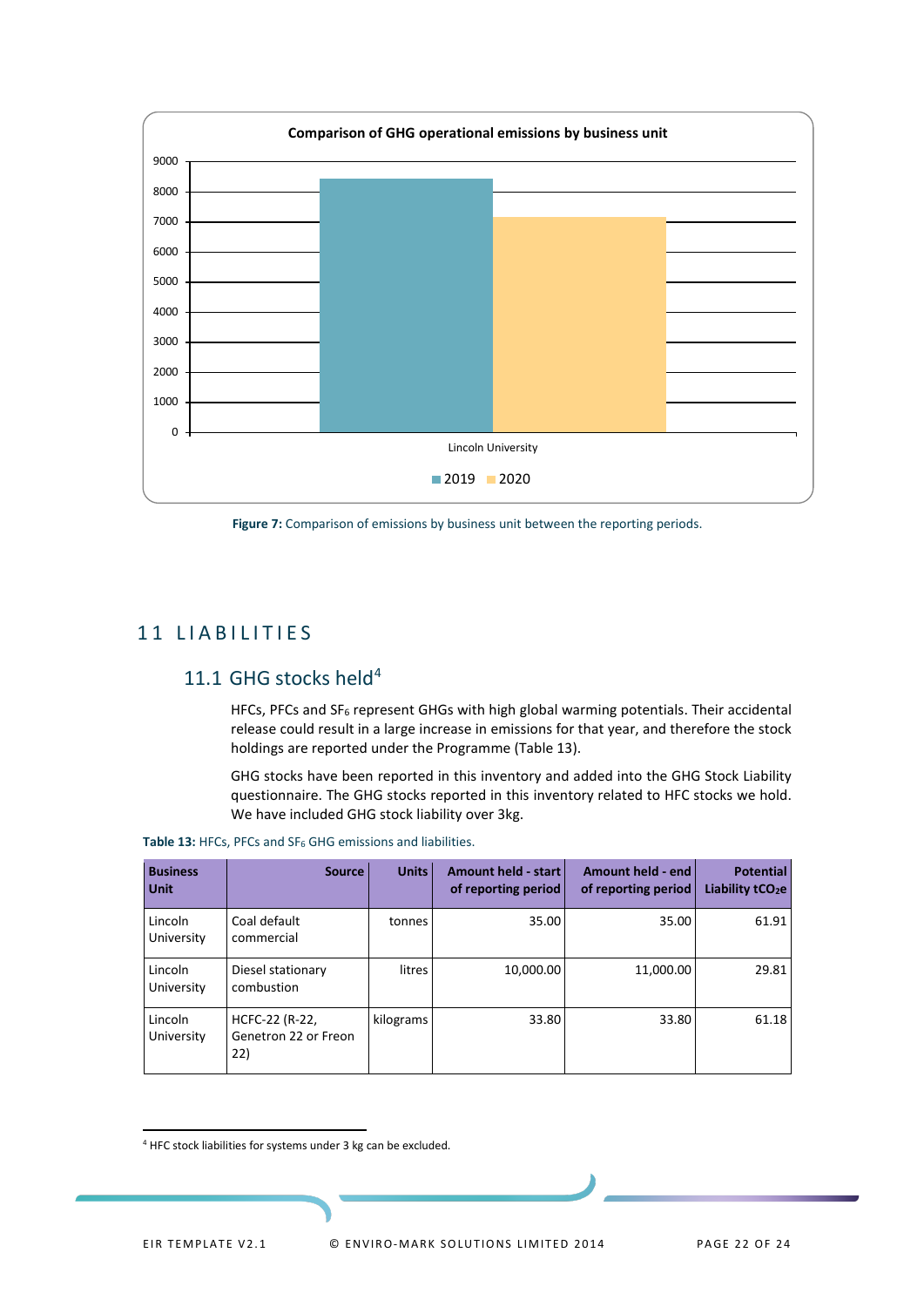

<span id="page-20-3"></span>Figure 7: Comparison of emissions by business unit between the reporting periods.

## <span id="page-20-0"></span>11 LIABILITIES

## <span id="page-20-1"></span>11.1 GHG stocks held<sup>[4](#page-20-4)</sup>

HFCs, PFCs and SF<sub>6</sub> represent GHGs with high global warming potentials. Their accidental release could result in a large increase in emissions for that year, and therefore the stock holdings are reported under the Programme (Table 13).

GHG stocks have been reported in this inventory and added into the GHG Stock Liability questionnaire. The GHG stocks reported in this inventory related to HFC stocks we hold. We have included GHG stock liability over 3kg.

<span id="page-20-2"></span>Table 13: HFCs, PFCs and SF<sub>6</sub> GHG emissions and liabilities.

| <b>Business</b><br>Unit | <b>Source</b>                                 | <b>Units</b> | Amount held - start<br>of reporting period | Amount held - end<br>of reporting period | <b>Potential</b><br>Liability $tCO2e$ |
|-------------------------|-----------------------------------------------|--------------|--------------------------------------------|------------------------------------------|---------------------------------------|
| Lincoln<br>University   | Coal default<br>commercial                    | tonnes       | 35.00                                      | 35.00                                    | 61.91                                 |
| Lincoln<br>University   | Diesel stationary<br>combustion               | litres       | 10,000.00                                  | 11,000.00                                | 29.81                                 |
| Lincoln<br>University   | HCFC-22 (R-22,<br>Genetron 22 or Freon<br>22) | kilograms    | 33.80                                      | 33.80                                    | 61.18                                 |

<span id="page-20-4"></span><sup>4</sup> HFC stock liabilities for systems under 3 kg can be excluded.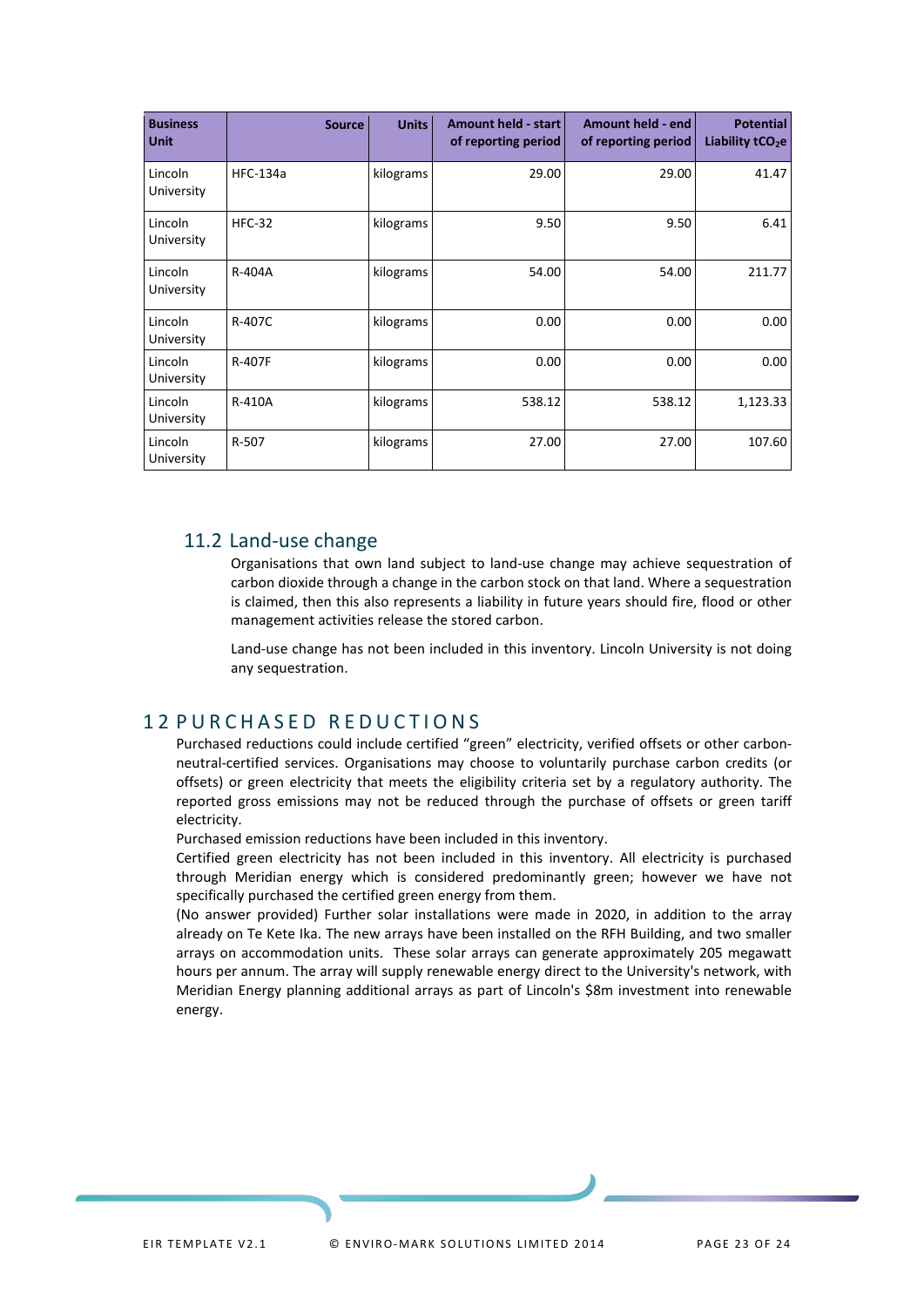| <b>Business</b><br><b>Unit</b> | <b>Source</b>   | <b>Units</b> | <b>Amount held - start</b><br>of reporting period | Amount held - end<br>of reporting period | <b>Potential</b><br>Liability tCO <sub>2</sub> e |
|--------------------------------|-----------------|--------------|---------------------------------------------------|------------------------------------------|--------------------------------------------------|
| Lincoln<br>University          | <b>HFC-134a</b> | kilograms    | 29.00                                             | 29.00                                    | 41.47                                            |
| Lincoln<br>University          | <b>HFC-32</b>   | kilograms    | 9.50                                              | 9.50                                     | 6.41                                             |
| Lincoln<br>University          | R-404A          | kilograms    | 54.00                                             | 54.00                                    | 211.77                                           |
| Lincoln<br>University          | R-407C          | kilograms    | 0.00                                              | 0.00                                     | 0.00                                             |
| Lincoln<br>University          | <b>R-407F</b>   | kilograms    | 0.00                                              | 0.00                                     | 0.00                                             |
| Lincoln<br>University          | R-410A          | kilograms    | 538.12                                            | 538.12                                   | 1,123.33                                         |
| Lincoln<br>University          | R-507           | kilograms    | 27.00                                             | 27.00                                    | 107.60                                           |

### 11.2 Land-use change

<span id="page-21-0"></span>Organisations that own land subject to land-use change may achieve sequestration of carbon dioxide through a change in the carbon stock on that land. Where a sequestration is claimed, then this also represents a liability in future years should fire, flood or other management activities release the stored carbon.

Land-use change has not been included in this inventory. Lincoln University is not doing any sequestration.

### <span id="page-21-1"></span>1 2 PURCHASED REDUCTIONS

Purchased reductions could include certified "green" electricity, verified offsets or other carbonneutral-certified services. Organisations may choose to voluntarily purchase carbon credits (or offsets) or green electricity that meets the eligibility criteria set by a regulatory authority. The reported gross emissions may not be reduced through the purchase of offsets or green tariff electricity.

Purchased emission reductions have been included in this inventory.

Certified green electricity has not been included in this inventory. All electricity is purchased through Meridian energy which is considered predominantly green; however we have not specifically purchased the certified green energy from them.

(No answer provided) Further solar installations were made in 2020, in addition to the array already on Te Kete Ika. The new arrays have been installed on the RFH Building, and two smaller arrays on accommodation units. These solar arrays can generate approximately 205 megawatt hours per annum. The array will supply renewable energy direct to the University's network, with Meridian Energy planning additional arrays as part of Lincoln's \$8m investment into renewable energy.